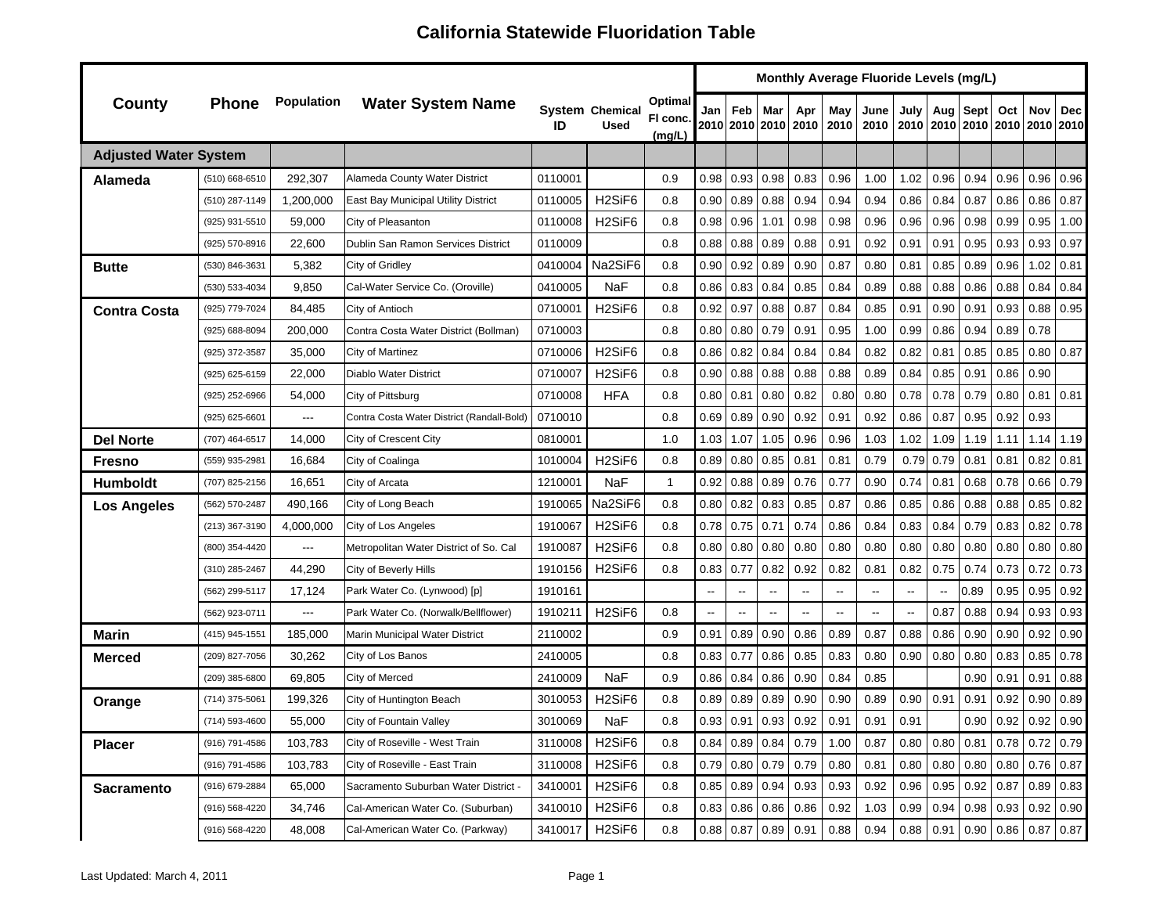|                              |                |                   |                                            |         |                                 |                              |      |                          |                          |                            |                          | Monthly Average Fluoride Levels (mg/L) |                          |      |             |      |                                         |      |
|------------------------------|----------------|-------------------|--------------------------------------------|---------|---------------------------------|------------------------------|------|--------------------------|--------------------------|----------------------------|--------------------------|----------------------------------------|--------------------------|------|-------------|------|-----------------------------------------|------|
| County                       | <b>Phone</b>   | <b>Population</b> | <b>Water System Name</b>                   | ID      | System Chemical<br><b>Used</b>  | Optimal<br>FI conc<br>(mg/L) | Jan  | Feb                      | Mar                      | Apr<br>2010 2010 2010 2010 | May<br>2010              | June<br>2010                           | July<br>2010             | Aug  | <b>Sept</b> | Oct  | Nov<br>2010   2010   2010   2010   2010 | Dec  |
| <b>Adjusted Water System</b> |                |                   |                                            |         |                                 |                              |      |                          |                          |                            |                          |                                        |                          |      |             |      |                                         |      |
| Alameda                      | (510) 668-6510 | 292,307           | Alameda County Water District              | 0110001 |                                 | 0.9                          | 0.98 | 0.93                     | 0.98                     | 0.83                       | 0.96                     | 1.00                                   | 1.02                     | 0.96 | 0.94        | 0.96 | 0.96                                    | 0.96 |
|                              | (510) 287-1149 | 1,200,000         | East Bay Municipal Utility District        | 0110005 | H <sub>2</sub> SiF <sub>6</sub> | 0.8                          | 0.90 | 0.89                     | 0.88                     | 0.94                       | 0.94                     | 0.94                                   | 0.86                     | 0.84 | 0.87        | 0.86 | 0.86                                    | 0.87 |
|                              | (925) 931-5510 | 59,000            | City of Pleasanton                         | 0110008 | H <sub>2</sub> SiF <sub>6</sub> | 0.8                          | 0.98 | 0.96                     | 1.01                     | 0.98                       | 0.98                     | 0.96                                   | 0.96                     | 0.96 | 0.98        | 0.99 | 0.95                                    | 1.00 |
|                              | (925) 570-8916 | 22,600            | Dublin San Ramon Services District         | 0110009 |                                 | 0.8                          | 0.88 | 0.88                     | 0.89                     | 0.88                       | 0.91                     | 0.92                                   | 0.91                     | 0.91 | 0.95        | 0.93 | 0.93                                    | 0.97 |
| Butte                        | (530) 846-3631 | 5,382             | City of Gridley                            | 0410004 | Na2SiF6                         | 0.8                          | 0.90 | 0.92                     | 0.89                     | 0.90                       | 0.87                     | 0.80                                   | 0.81                     | 0.85 | 0.89        | 0.96 | 1.02                                    | 0.81 |
|                              | (530) 533-4034 | 9,850             | Cal-Water Service Co. (Oroville)           | 0410005 | NaF                             | 0.8                          | 0.86 | 0.83                     | 0.84                     | 0.85                       | 0.84                     | 0.89                                   | 0.88                     | 0.88 | 0.86        | 0.88 | 0.84                                    | 0.84 |
| <b>Contra Costa</b>          | (925) 779-7024 | 84,485            | City of Antioch                            | 0710001 | H <sub>2</sub> SiF <sub>6</sub> | 0.8                          | 0.92 | 0.97                     | 0.88                     | 0.87                       | 0.84                     | 0.85                                   | 0.91                     | 0.90 | 0.91        | 0.93 | 0.88                                    | 0.95 |
|                              | (925) 688-8094 | 200,000           | Contra Costa Water District (Bollman)      | 0710003 |                                 | 0.8                          | 0.80 | 0.80                     | 0.79                     | 0.91                       | 0.95                     | 1.00                                   | 0.99                     | 0.86 | 0.94        | 0.89 | 0.78                                    |      |
|                              | (925) 372-3587 | 35,000            | City of Martinez                           | 0710006 | H <sub>2</sub> SiF <sub>6</sub> | 0.8                          | 0.86 | 0.82                     | 0.84                     | 0.84                       | 0.84                     | 0.82                                   | 0.82                     | 0.81 | 0.85        | 0.85 | 0.80                                    | 0.87 |
|                              | (925) 625-6159 | 22,000            | Diablo Water District                      | 0710007 | H <sub>2</sub> SiF <sub>6</sub> | 0.8                          | 0.90 | 0.88                     | 0.88                     | 0.88                       | 0.88                     | 0.89                                   | 0.84                     | 0.85 | 0.91        | 0.86 | 0.90                                    |      |
|                              | (925) 252-6966 | 54,000            | City of Pittsburg                          | 0710008 | <b>HFA</b>                      | 0.8                          | 0.80 | 0.81                     | 0.80                     | 0.82                       | 0.80                     | 0.80                                   | 0.78                     | 0.78 | 0.79        | 0.80 | 0.81                                    | 0.81 |
|                              | (925) 625-6601 | ---               | Contra Costa Water District (Randall-Bold) | 0710010 |                                 | 0.8                          | 0.69 | 0.89                     | 0.90                     | 0.92                       | 0.91                     | 0.92                                   | 0.86                     | 0.87 | 0.95        | 0.92 | 0.93                                    |      |
| <b>Del Norte</b>             | (707) 464-6517 | 14,000            | City of Crescent City                      | 0810001 |                                 | 1.0                          | 1.03 | 1.07                     | 1.05                     | 0.96                       | 0.96                     | 1.03                                   | 1.02                     | 1.09 | 1.19        | 1.11 | 1.14                                    | 1.19 |
| Fresno                       | (559) 935-2981 | 16,684            | City of Coalinga                           | 1010004 | H <sub>2</sub> SiF <sub>6</sub> | 0.8                          | 0.89 | 0.80                     | 0.85                     | 0.81                       | 0.81                     | 0.79                                   | 0.79                     | 0.79 | 0.81        | 0.81 | 0.82                                    | 0.81 |
| Humboldt                     | (707) 825-2156 | 16,651            | City of Arcata                             | 1210001 | NaF                             | 1                            | 0.92 | 0.88                     | 0.89                     | 0.76                       | 0.77                     | 0.90                                   | 0.74                     | 0.81 | 0.68        | 0.78 | 0.66                                    | 0.79 |
| <b>Los Angeles</b>           | (562) 570-2487 | 490,166           | City of Long Beach                         | 1910065 | Na2SiF6                         | 0.8                          | 0.80 | 0.82                     | 0.83                     | 0.85                       | 0.87                     | 0.86                                   | 0.85                     | 0.86 | 0.88        | 0.88 | 0.85                                    | 0.82 |
|                              | (213) 367-3190 | 4,000,000         | City of Los Angeles                        | 1910067 | H <sub>2</sub> SiF <sub>6</sub> | 0.8                          | 0.78 | 0.75                     | 0.71                     | 0.74                       | 0.86                     | 0.84                                   | 0.83                     | 0.84 | 0.79        | 0.83 | 0.82                                    | 0.78 |
|                              | (800) 354-4420 | ---               | Metropolitan Water District of So. Cal     | 1910087 | H <sub>2</sub> SiF <sub>6</sub> | 0.8                          | 0.80 | 0.80                     | 0.80                     | 0.80                       | 0.80                     | 0.80                                   | 0.80                     | 0.80 | 0.80        | 0.80 | 0.80                                    | 0.80 |
|                              | (310) 285-2467 | 44,290            | City of Beverly Hills                      | 1910156 | H <sub>2</sub> SiF <sub>6</sub> | 0.8                          | 0.83 | 0.77                     | 0.82                     | 0.92                       | 0.82                     | 0.81                                   | 0.82                     | 0.75 | 0.74        | 0.73 | 0.72                                    | 0.73 |
|                              | (562) 299-5117 | 17,124            | Park Water Co. (Lynwood) [p]               | 1910161 |                                 |                              | --   | $\overline{\phantom{a}}$ | $\overline{\phantom{a}}$ | --                         | $\overline{\phantom{a}}$ | --                                     | $\overline{\phantom{a}}$ |      | 0.89        | 0.95 | 0.95                                    | 0.92 |
|                              | (562) 923-0711 | ---               | Park Water Co. (Norwalk/Bellflower)        | 1910211 | H <sub>2</sub> SiF <sub>6</sub> | 0.8                          | --   | $\overline{\phantom{a}}$ | $\overline{\phantom{a}}$ |                            | $\overline{\phantom{a}}$ | $\overline{\phantom{a}}$               | --                       | 0.87 | 0.88        | 0.94 | 0.93                                    | 0.93 |
| Marin                        | (415) 945-1551 | 185,000           | Marin Municipal Water District             | 2110002 |                                 | 0.9                          | 0.91 | 0.89                     | 0.90                     | 0.86                       | 0.89                     | 0.87                                   | 0.88                     | 0.86 | 0.90        | 0.90 | 0.92                                    | 0.90 |
| Merced                       | (209) 827-7056 | 30,262            | City of Los Banos                          | 2410005 |                                 | 0.8                          | 0.83 | 0.77                     | 0.86                     | 0.85                       | 0.83                     | 0.80                                   | 0.90                     | 0.80 | 0.80        | 0.83 | 0.85                                    | 0.78 |
|                              | (209) 385-6800 | 69,805            | City of Merced                             | 2410009 | NaF                             | 0.9                          | 0.86 | 0.84                     | 0.86                     | 0.90                       | 0.84                     | 0.85                                   |                          |      | 0.90        | 0.91 | 0.91                                    | 0.88 |
| Orange                       | (714) 375-5061 | 199,326           | City of Huntington Beach                   | 3010053 | H <sub>2</sub> SiF <sub>6</sub> | 0.8                          | 0.89 | 0.89                     | 0.89                     | 0.90                       | 0.90                     | 0.89                                   | 0.90                     | 0.91 | 0.91        | 0.92 | 0.90                                    | 0.89 |
|                              | (714) 593-4600 | 55,000            | City of Fountain Valley                    | 3010069 | NaF                             | 0.8                          | 0.93 | 0.91                     | 0.93                     | 0.92                       | 0.91                     | 0.91                                   | 0.91                     |      | 0.90        | 0.92 | 0.92                                    | 0.90 |
| <b>Placer</b>                | (916) 791-4586 | 103,783           | City of Roseville - West Train             | 3110008 | H <sub>2</sub> SiF <sub>6</sub> | 0.8                          |      | $0.84$ 0.89              | 0.84                     | 0.79                       | 1.00                     | 0.87                                   | 0.80                     | 0.80 | 0.81        | 0.78 | 0.72                                    | 0.79 |
|                              | (916) 791-4586 | 103,783           | City of Roseville - East Train             | 3110008 | H <sub>2</sub> SiF <sub>6</sub> | 0.8                          |      | $0.79$ 0.80              | 0.79                     | 0.79                       | 0.80                     | 0.81                                   | 0.80                     | 0.80 | 0.80        | 0.80 | $0.76$ 0.87                             |      |
| <b>Sacramento</b>            | (916) 679-2884 | 65,000            | Sacramento Suburban Water District -       | 3410001 | H <sub>2</sub> SiF <sub>6</sub> | 0.8                          |      | $0.85$ 0.89              | 0.94                     | 0.93                       | 0.93                     | 0.92                                   | 0.96                     | 0.95 | 0.92        | 0.87 | 0.89                                    | 0.83 |
|                              | (916) 568-4220 | 34,746            | Cal-American Water Co. (Suburban)          | 3410010 | H <sub>2</sub> SiF <sub>6</sub> | 0.8                          |      | 0.83 0.86                | 0.86                     | 0.86                       | 0.92                     | 1.03                                   | 0.99                     | 0.94 | 0.98        | 0.93 | 0.92                                    | 0.90 |
|                              | (916) 568-4220 | 48,008            | Cal-American Water Co. (Parkway)           | 3410017 | H <sub>2</sub> SiF <sub>6</sub> | 0.8                          |      | 0.88 0.87                | 0.89                     | 0.91                       | 0.88                     | 0.94                                   | 0.88                     | 0.91 | 0.90        |      | $0.86$ 0.87 0.87                        |      |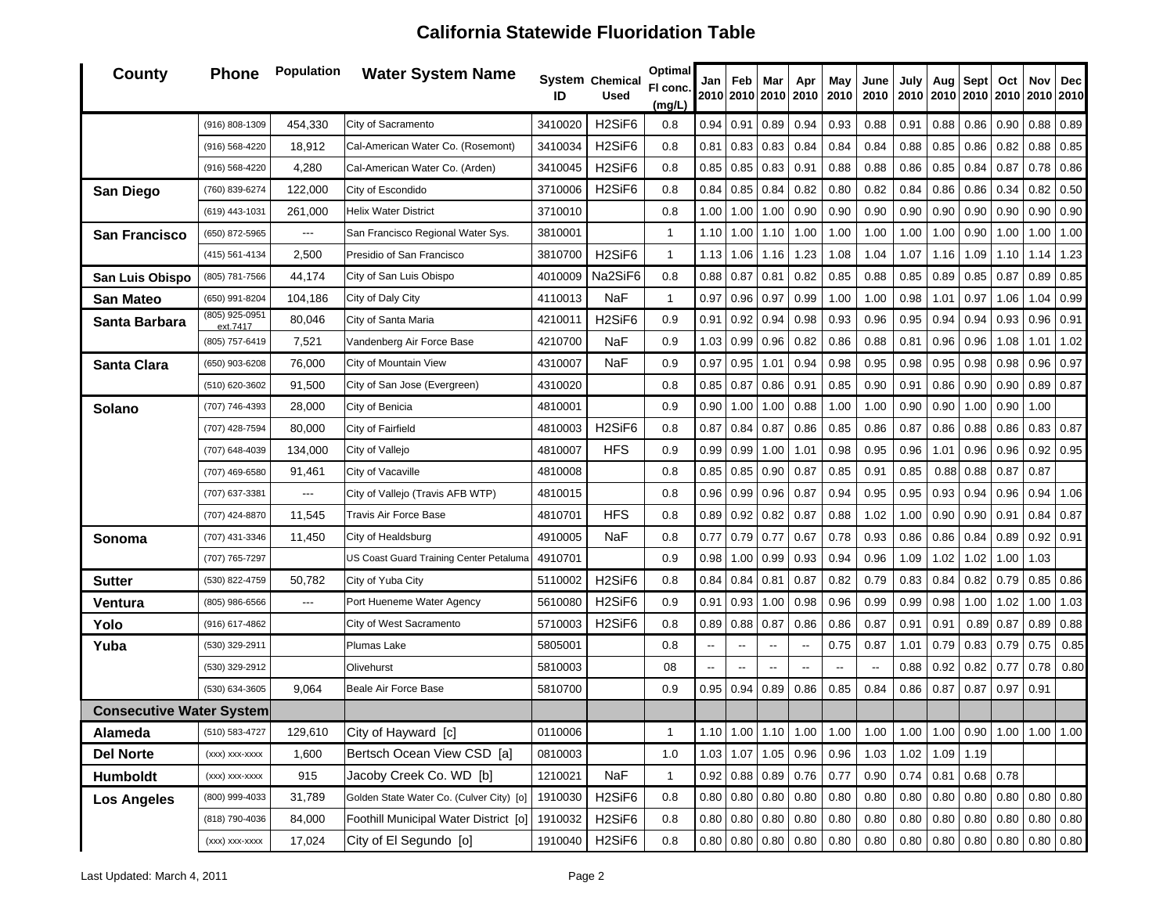| <b>County</b>                   | <b>Phone</b>               | <b>Population</b> | <b>Water System Name</b>                 | ID      | <b>System Chemical</b><br><b>Used</b> | Optimal<br>FI conc.<br>(mg/L) | Jan                      | Feb                      | Mar<br>2010 2010 2010    | Apr<br>2010                                | May<br>2010 | June<br>2010 | July<br>2010 | Aug  | Sept<br>2010 2010 2010 | Oct       | Nov<br>2010                             | <b>Dec</b><br>2010 |
|---------------------------------|----------------------------|-------------------|------------------------------------------|---------|---------------------------------------|-------------------------------|--------------------------|--------------------------|--------------------------|--------------------------------------------|-------------|--------------|--------------|------|------------------------|-----------|-----------------------------------------|--------------------|
|                                 | (916) 808-1309             | 454,330           | City of Sacramento                       | 3410020 | H <sub>2</sub> SiF <sub>6</sub>       | 0.8                           | 0.94                     | 0.91                     | 0.89                     | 0.94                                       | 0.93        | 0.88         | 0.91         | 0.88 | 0.86                   | 0.90      | 0.88                                    | 0.89               |
|                                 | (916) 568-4220             | 18,912            | Cal-American Water Co. (Rosemont)        | 3410034 | H <sub>2</sub> SiF <sub>6</sub>       | 0.8                           | 0.81                     | 0.83                     | 0.83                     | 0.84                                       | 0.84        | 0.84         | 0.88         | 0.85 | 0.86                   | 0.82      | 0.88                                    | 0.85               |
|                                 | (916) 568-4220             | 4,280             | Cal-American Water Co. (Arden)           | 3410045 | H <sub>2</sub> SiF <sub>6</sub>       | 0.8                           | 0.85                     | 0.85                     | 0.83                     | 0.91                                       | 0.88        | 0.88         | 0.86         | 0.85 | 0.84                   | 0.87      | 0.78                                    | 0.86               |
| <b>San Diego</b>                | (760) 839-6274             | 122,000           | City of Escondido                        | 3710006 | H <sub>2</sub> SiF <sub>6</sub>       | 0.8                           | 0.84                     | 0.85                     | 0.84                     | 0.82                                       | 0.80        | 0.82         | 0.84         | 0.86 | 0.86                   | 0.34      | 0.82                                    | 0.50               |
|                                 | (619) 443-1031             | 261,000           | <b>Helix Water District</b>              | 3710010 |                                       | 0.8                           | 1.00                     | 1.00                     | 1.00                     | 0.90                                       | 0.90        | 0.90         | 0.90         | 0.90 | 0.90                   | 0.90      | 0.90                                    | 0.90               |
| <b>San Francisco</b>            | (650) 872-5965             | ---               | San Francisco Regional Water Sys.        | 3810001 |                                       | 1                             | 1.10                     | 1.00                     | 1.10                     | 1.00                                       | 1.00        | 1.00         | 1.00         | 1.00 | 0.90                   | 1.00      | 1.00                                    | 1.00               |
|                                 | (415) 561-4134             | 2,500             | Presidio of San Francisco                | 3810700 | H <sub>2</sub> SiF <sub>6</sub>       | $\mathbf{1}$                  | 1.13                     | 1.06                     | 1.16                     | 1.23                                       | 1.08        | 1.04         | 1.07         | 1.16 | 1.09                   | 1.10      | 1.14                                    | 1.23               |
| San Luis Obispo                 | (805) 781-7566             | 44,174            | City of San Luis Obispo                  | 4010009 | Na2SiF6                               | 0.8                           | 0.88                     | 0.87                     | 0.81                     | 0.82                                       | 0.85        | 0.88         | 0.85         | 0.89 | 0.85                   | 0.87      | 0.89                                    | 0.85               |
| <b>San Mateo</b>                | (650) 991-8204             | 104,186           | City of Daly City                        | 4110013 | <b>NaF</b>                            | 1                             | 0.97                     | 0.96                     | 0.97                     | 0.99                                       | 1.00        | 1.00         | 0.98         | 1.01 | 0.97                   | 1.06      | 1.04                                    | 0.99               |
| Santa Barbara                   | (805) 925-0951<br>ext.7417 | 80,046            | City of Santa Maria                      | 4210011 | H <sub>2</sub> SiF <sub>6</sub>       | 0.9                           | 0.91                     | 0.92                     | 0.94                     | 0.98                                       | 0.93        | 0.96         | 0.95         | 0.94 | 0.94                   | 0.93      | 0.96                                    | 0.91               |
|                                 | (805) 757-6419             | 7,521             | Vandenberg Air Force Base                | 4210700 | <b>NaF</b>                            | 0.9                           | 1.03                     | 0.99                     | 0.96                     | 0.82                                       | 0.86        | 0.88         | 0.81         | 0.96 | 0.96                   | 1.08      | 1.01                                    | 1.02               |
| Santa Clara                     | (650) 903-6208             | 76,000            | City of Mountain View                    | 4310007 | <b>NaF</b>                            | 0.9                           | 0.97                     | 0.95                     | 1.01                     | 0.94                                       | 0.98        | 0.95         | 0.98         | 0.95 | 0.98                   | 0.98      | 0.96                                    | 0.97               |
|                                 | (510) 620-3602             | 91,500            | City of San Jose (Evergreen)             | 4310020 |                                       | 0.8                           | 0.85                     | 0.87                     | 0.86                     | 0.91                                       | 0.85        | 0.90         | 0.91         | 0.86 | 0.90                   | 0.90      |                                         | $0.89$ 0.87        |
| Solano                          | (707) 746-4393             | 28,000            | City of Benicia                          | 4810001 |                                       | 0.9                           | 0.90                     | 1.00                     | 1.00                     | 0.88                                       | 1.00        | 1.00         | 0.90         | 0.90 | 1.00                   | 0.90      | 1.00                                    |                    |
|                                 | (707) 428-7594             | 80,000            | City of Fairfield                        | 4810003 | H <sub>2</sub> SiF <sub>6</sub>       | 0.8                           | 0.87                     | 0.84                     | 0.87                     | 0.86                                       | 0.85        | 0.86         | 0.87         | 0.86 | 0.88                   | 0.86      | $0.83$ 0.87                             |                    |
|                                 | (707) 648-4039             | 134,000           | City of Vallejo                          | 4810007 | <b>HFS</b>                            | 0.9                           | 0.99                     | 0.99                     | 1.00                     | 1.01                                       | 0.98        | 0.95         | 0.96         | 1.01 | 0.96                   | 0.96      | 0.92                                    | 0.95               |
|                                 | (707) 469-6580             | 91,461            | City of Vacaville                        | 4810008 |                                       | 0.8                           | 0.85                     | 0.85                     | 0.90                     | 0.87                                       | 0.85        | 0.91         | 0.85         | 0.88 | 0.88                   | 0.87      | 0.87                                    |                    |
|                                 | (707) 637-3381             | ---               | City of Vallejo (Travis AFB WTP)         | 4810015 |                                       | 0.8                           | 0.96                     | 0.99                     | 0.96                     | 0.87                                       | 0.94        | 0.95         | 0.95         | 0.93 | 0.94                   | 0.96      | 0.94                                    | 1.06               |
|                                 | (707) 424-8870             | 11,545            | Travis Air Force Base                    | 4810701 | <b>HFS</b>                            | 0.8                           | 0.89                     | 0.92                     | 0.82                     | 0.87                                       | 0.88        | 1.02         | 1.00         | 0.90 | 0.90                   | 0.91      | 0.84                                    | 0.87               |
| Sonoma                          | (707) 431-3346             | 11,450            | City of Healdsburg                       | 4910005 | <b>NaF</b>                            | 0.8                           | 0.77                     | 0.79                     | 0.77                     | 0.67                                       | 0.78        | 0.93         | 0.86         | 0.86 | 0.84                   | 0.89      | 0.92                                    | 0.91               |
|                                 | (707) 765-7297             |                   | US Coast Guard Training Center Petaluma  | 4910701 |                                       | 0.9                           | 0.98                     | 1.00                     | 0.99                     | 0.93                                       | 0.94        | 0.96         | 1.09         | 1.02 | 1.02                   | 1.00      | 1.03                                    |                    |
| Sutter                          | (530) 822-4759             | 50,782            | City of Yuba City                        | 5110002 | H <sub>2</sub> SiF <sub>6</sub>       | 0.8                           | 0.84                     | 0.84                     | 0.81                     | 0.87                                       | 0.82        | 0.79         | 0.83         | 0.84 | 0.82                   | 0.79      | 0.85                                    | 0.86               |
| Ventura                         | (805) 986-6566             | ---               | Port Hueneme Water Agency                | 5610080 | H <sub>2</sub> SiF <sub>6</sub>       | 0.9                           | 0.91                     | 0.93                     | 1.00                     | 0.98                                       | 0.96        | 0.99         | 0.99         | 0.98 | 1.00                   | 1.02      | 1.00                                    | 1.03               |
| Yolo                            | (916) 617-4862             |                   | City of West Sacramento                  | 5710003 | H <sub>2</sub> SiF <sub>6</sub>       | 0.8                           | 0.89                     | 0.88                     | 0.87                     | 0.86                                       | 0.86        | 0.87         | 0.91         | 0.91 | 0.89                   | 0.87      | 0.89                                    | 0.88               |
| Yuba                            | (530) 329-2911             |                   | Plumas Lake                              | 5805001 |                                       | 0.8                           | $\overline{\phantom{a}}$ | $\overline{\phantom{a}}$ | $\overline{\phantom{a}}$ | $\overline{\phantom{a}}$                   | 0.75        | 0.87         | 1.01         | 0.79 | 0.83                   | 0.79      | 0.75                                    | 0.85               |
|                                 | (530) 329-2912             |                   | Olivehurst                               | 5810003 |                                       | 08                            | --                       | $\overline{\phantom{a}}$ |                          |                                            | --          |              | 0.88         | 0.92 | 0.82                   | 0.77      | 0.78                                    | 0.80               |
|                                 | (530) 634-3605             | 9,064             | Beale Air Force Base                     | 5810700 |                                       | 0.9                           | 0.95                     | 0.94                     | 0.89                     | 0.86                                       | 0.85        | 0.84         | 0.86         | 0.87 | 0.87                   | 0.97      | 0.91                                    |                    |
| <b>Consecutive Water System</b> |                            |                   |                                          |         |                                       |                               |                          |                          |                          |                                            |             |              |              |      |                        |           |                                         |                    |
| Alameda                         | (510) 583-4727             | 129,610           | City of Hayward [c]                      | 0110006 |                                       |                               |                          |                          |                          | $1.10$   $1.00$   $1.10$   $1.00$   $1.00$ |             | 1.00         |              |      |                        |           | 1.00   1.00   0.90   1.00   1.00   1.00 |                    |
| <b>Del Norte</b>                | (xxx) xxx-xxxx             | 1,600             | Bertsch Ocean View CSD [a]               | 0810003 |                                       | 1.0                           | 1.03                     | 1.07                     | 1.05                     | 0.96                                       | 0.96        | 1.03         | 1.02         | 1.09 | 1.19                   |           |                                         |                    |
| Humboldt                        | (xxx) xxx-xxxx             | 915               | Jacoby Creek Co. WD [b]                  | 1210021 | <b>NaF</b>                            | $\mathbf{1}$                  |                          | $0.92 \, 0.88$           | 0.89                     | 0.76                                       | 0.77        | 0.90         | 0.74         | 0.81 |                        | 0.68 0.78 |                                         |                    |
| <b>Los Angeles</b>              | (800) 999-4033             | 31,789            | Golden State Water Co. (Culver City) [o] | 1910030 | H <sub>2</sub> SiF <sub>6</sub>       | 0.8                           |                          | $0.80$ 0.80              | 0.80                     | 0.80                                       | 0.80        | 0.80         | 0.80         | 0.80 | 0.80                   | 0.80      |                                         | $0.80 \ 0.80$      |
|                                 | (818) 790-4036             | 84,000            | Foothill Municipal Water District [o]    | 1910032 | H <sub>2</sub> SiF <sub>6</sub>       | 0.8                           |                          | $0.80$ 0.80              | 0.80                     | 0.80                                       | 0.80        | 0.80         | 0.80         | 0.80 | 0.80                   | 0.80      |                                         | $0.80 \ 0.80$      |
|                                 | (xxx) xxx-xxxx             | 17,024            | City of El Segundo [o]                   | 1910040 | H <sub>2</sub> SiF <sub>6</sub>       | 0.8                           |                          | 0.80 0.80                | 0.80                     | 0.80                                       | 0.80        | 0.80         | 0.80         | 0.80 | 0.80                   | 0.80      | $0.80 \ 0.80$                           |                    |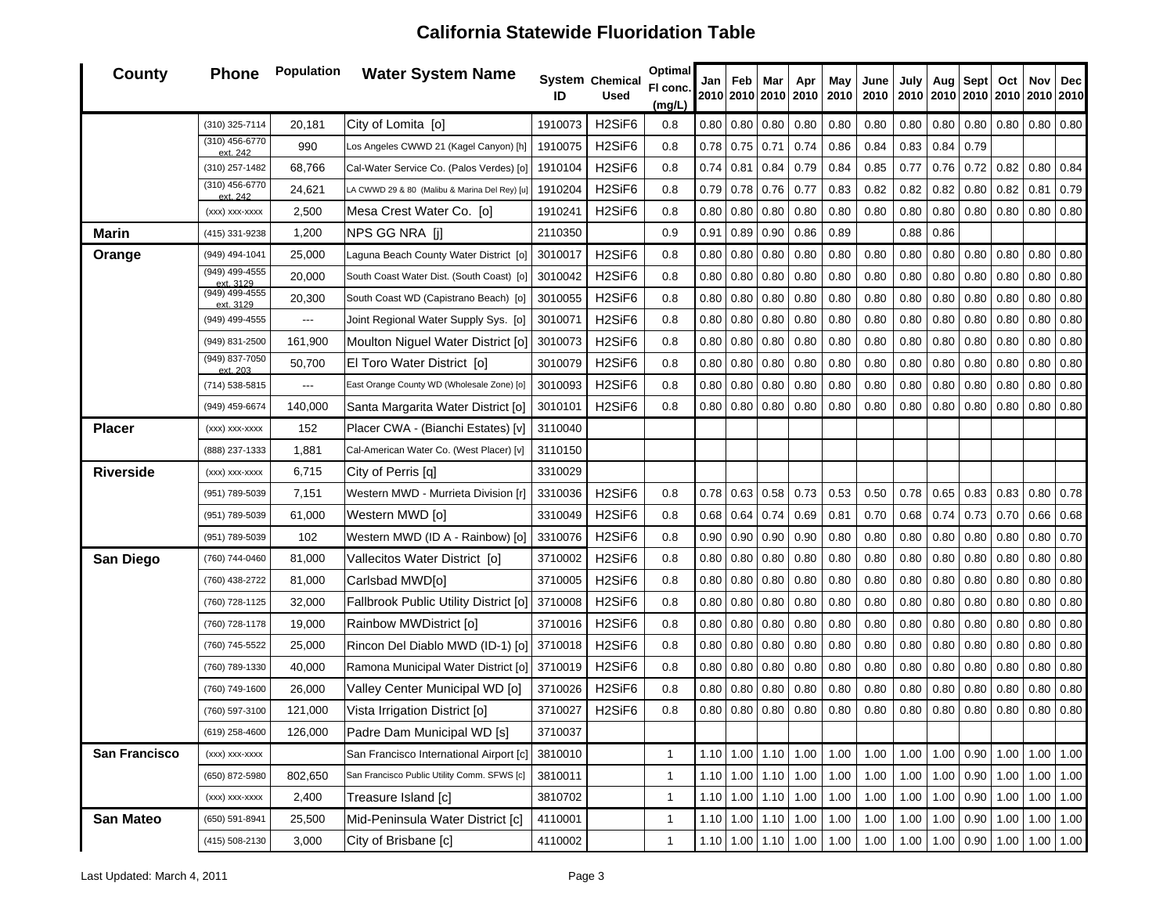#### **County Phone Population Water System Name IDChemical UsedOptimal Fl conc. (mg/L) Jan 2010201020102010Feb Mar Apr May 2010June 2010July 201020102010Aug Sept Oct 2010Nov 2010Dec 2010**(310) 325-7114 20,181 City of Lomita [o] <sup>1910073</sup> H2SiF6 0.8 0.80 0.80 0.80 0.80 0.80 0.80 0.80 0.80 0.80 0.80 0.80 0.80 (310) 456-6770 ext. 242990 Los Angeles CWWD 21 (Kagel Canyon) [h] 1910075 | H2SiF6 | 0.8 0.78 | 0.75 | 0.71 | 0.74 | 0.86 | 0.84 | 0.83 | 0.84 | 0.79 (310) 257-1482 68,766 Cal-Water Service Co. (Palos Verdes) [o] 1910104 H2SiF6 0.8 0.74 0.81 0.84 0.79 0.84 0.85 0.77 0.76 0.72 0.82 0.80 0.84 (310) 456-6770 ext. 24224,621 LA CWWD 29 & 80 (Malibu & Marina Del Rey) [u] 1910204 | H2SiF6 | 0.8 0.79 0.78 0.78 0.77 0.83 0.82 0.82 0.82 0.82 0.80 0.82 0.80 0.82 0.81 0.79 (xxx) xxx-xxxx | 2,500 Mesa Crest Water Co. [o] | 1910241 | H2SiF6 | 0.8 | 0.80 | 0.80 | 0.80 | 0.80 | 0.80 | 0.80 | 0.80 | 0.80 | 0.80 | 0.80 | 0.80 | 0.80 | 0.80 | 0.80 | 0.80 | 0.80 | 0.80 | 0.80 | 0.80 | 0.80 | 0.80 | **Marin**(415) 331-9238 1,200 NPS GG NRA [j] 2110350 0.90 0.91 0.89 0.90 0.86 0.89 0.88 0.86 **Orange** (949) 494-1041 25,000 Laguna Beach County Water District [o] <sup>3010017</sup> H2SiF6 0.8 0.80 0.80 0.80 0.80 0.80 0.80 0.80 0.80 0.80 0.80 0.80 0.80 (949) 499-4555 ext. 3129 20,000 South Coast Water Dist. (South Coast) [o] <sup>3010042</sup> H2SiF6 0.8 0.80 0.80 0.80 0.80 0.80 0.80 0.80 0.80 0.80 0.80 0.80 0.80 (949) 499-4555 ext. 3129 20,300 South Coast WD (Capistrano Beach) [o] <sup>3010055</sup> H2SiF6 0.8 0.80 0.80 0.80 0.80 0.80 0.80 0.80 0.80 0.80 0.80 0.80 0.80 (949) 499-4555 --- Joint Regional Water Supply Sys. [o] 3010071 H2SiF6 0.8 0.80 0.80 0.80 0.80 0.80 0.80 0.80 0.80 0.80 0.80 0.80 0.80 (949) 831-2500 161,900 Moulton Niguel Water District [o] <sup>3010073</sup> H2SiF6 0.8 0.80 0.80 0.80 0.80 0.80 0.80 0.80 0.80 0.80 0.80 0.80 0.80 (949) 837-7050 ext. 203 50,700 El Toro Water District [o] <sup>3010079</sup> H2SiF6 0.8 0.80 0.80 0.80 0.80 0.80 0.80 0.80 0.80 0.80 0.80 0.80 0.80  $(714)$  538-5815  $\vert$  --- East Orange County WD (Wholesale Zone) [o]  $\vert$  3010093 H2SiF6 6 | 0.8 | 0.80 | 0.80 | 0.80 | 0.80 | 0.80 | 0.80 | 0.80 | 0.80 | 0.80 | 0.80 | 0.80 | 0.80 (949) 459-6674 140,000 Santa Margarita Water District [o] <sup>3010101</sup> H2SiF6 0.8 0.80 0.80 0.80 0.80 0.80 0.80 0.80 0.80 0.80 0.80 0.80 0.80 **Placer** $(xxx)$  xxx-xxxx | 152 Placer CWA - (Bianchi Estates) [v] 3110040 (888) 237-1333 1,881 Cal-American Water Co. (West Placer) [v] 3110150 **Riverside** $(xxx)$  xxx-xxx  $\begin{vmatrix} 6,715 \end{vmatrix}$  City of Perris [q] 3310029 (951) 789-5039 7,151 Western MWD - Murrieta Division [r] 3310036 H2SiF6 0.8 0.78 0.63 0.58 0.73 0.58 0.53 0.50 0.78 0.65 0.83 0.83 0.83 0.80 0.78 (951) 789-5039 61,000 Western MWD [o] 3310049 H2SiF6 0.8 0.68 0.64 0.74 0.69 0.81 0.70 0.68 0.74 0.73 0.70 0.66 0.68 (951) 789-5039 102 Western MWD (ID A - Rainbow) [o] 3310076 H2SiF6 0.8 0.90 0.90 0.90 0.90 0.80 0.80 0.80 0.80 0.80 0.80 0.80 0.70 **San Diego** (760) 744-0460 81,000 Vallecitos Water District [o] <sup>3710002</sup> H2SiF6 0.8 0.80 0.80 0.80 0.80 0.80 0.80 0.80 0.80 0.80 0.80 0.80 0.80 (760) 438-2722 81,000 Carlsbad MWD[o] <sup>3710005</sup> H2SiF6 0.8 0.80 0.80 0.80 0.80 0.80 0.80 0.80 0.80 0.80 0.80 0.80 0.80 (760) 728-1125 32,000 Fallbrook Public Utility District [o] <sup>3710008</sup> H2SiF6 0.8 0.80 0.80 0.80 0.80 0.80 0.80 0.80 0.80 0.80 0.80 0.80 0.80 (760) 728-1178 19,000 Rainbow MWDistrict [o] <sup>3710016</sup> H2SiF6 0.8 0.80 0.80 0.80 0.80 0.80 0.80 0.80 0.80 0.80 0.80 0.80 0.80 (760) 745-5522 25,000 Rincon Del Diablo MWD (ID-1) [o] 3710018 H2SiF6 0.8 0.80 0.80 0.80 0.80 0.80 0.80 0.80 0.80 0.80 0.80 0.80 0.80 (760) 789-1330 | 40,000 | Ramona Municipal Water District [o] 3710019 | H2SiF6 | 0.8 | 0.80 | 0.80 | 0.80 | 0.80 | 0.80 | 0.80 | 0.80 | 0.80 | 0.80 | 0.80 | 0.80 | 0.80 | 0.80 | 0.80 | 0.80 | 0.80 | 0.80 | 0.80 | 0.80 | 0. (760) 749-1600 | 26,000 | Valley Center Municipal WD [o] | 3710026 | H2SiF6 | 0.8 | 0.80 | 0.80 | 0.80 | 0.80 | 0.80 | 0.80 | 0.80 | 0.80 | 0.80 | 0.80 | 0.80 | 0.80 | 0.80 | 0.80 | 0.80 | 0.80 | 0.80 | 0.80 | 0.80 | 0.80 (760) 597-3100 121,000 Vista Irrigation District [o] <sup>3710027</sup> H2SiF6 0.8 0.80 0.80 0.80 0.80 0.80 0.80 0.80 0.80 0.80 0.80 0.80 0.80 (619) 258-4600 126,000 Padre Dam Municipal WD [s] 3710037 **San Francisco**(xxx) xxx-xxxx | San Francisco International Airport [c] 3810010 | 1 1.10 1.00 | 1.00 | 1.00 | 1.00 | 1.00 | 1.00 | 1.00 | 0.90 | 1.00 | 1.00 | 1.00 | 1.00 | 1.00 | 1.00 | 1.00 | 1.00 | 1.00 | 1.00 | 1.00 | 1.00 | 1.00 | 1 (650) 872-5980 802,650 San Francisco Public Utility Comm. SFWS [c] 3810011 1 1.10 1.00 1.10 1.00 1.00 1.00 1.00 1.00 0.90 1.00 1.00 1.00 (xxx) xxx-xxxx 2,400 Treasure Island [c] 3810702 <sup>1</sup> 1.10 1.00 1.10 1.00 1.00 1.00 1.00 1.00 0.90 1.00 1.00 1.00 **San Mateo** (650) 591-8941 25,500 Mid-Peninsula Water District [c] 4110001 <sup>1</sup> 1.10 1.00 1.10 1.00 1.00 1.00 1.00 1.00 0.90 1.00 1.00 1.00 (415) 508-2130 | 3,000 |City of Brisbane [c] | 4110002 | | 1.10 | 1.00 | 1.00 | 1.00 | 1.00 | 1.00 | 1.00 | 1.00 | 0.90 | 1.00 | 1.00 | 1.00 | 1.00 | 1.00 | 1.00 | 1.00 | 1.00 | 1.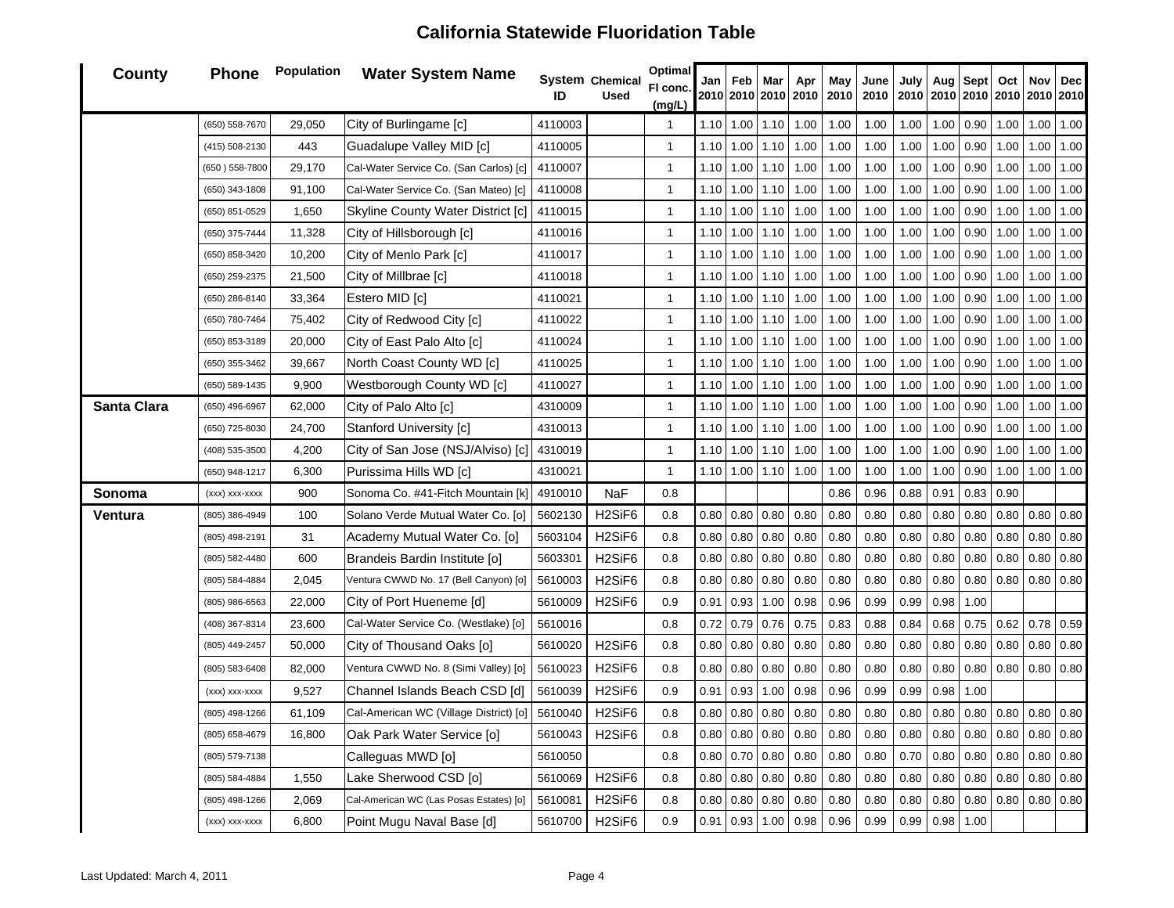| <b>County</b> | <b>Phone</b>   | Population | <b>Water System Name</b>                | ID      | System Chemical<br><b>Used</b>  | Optimal<br>FI conc<br>(mg/L) | Jan  | Feb  | Mar  | Apr<br>2010 2010 2010 2010 | May<br>2010 | June<br>2010 | July | Aug  | <b>Sept</b> | Oct  | Nov<br>2010   2010   2010   2010   2010   2010 | Dec  |
|---------------|----------------|------------|-----------------------------------------|---------|---------------------------------|------------------------------|------|------|------|----------------------------|-------------|--------------|------|------|-------------|------|------------------------------------------------|------|
|               | (650) 558-7670 | 29,050     | City of Burlingame [c]                  | 4110003 |                                 | $\mathbf{1}$                 | 1.10 | 1.00 | 1.10 | 1.00                       | 1.00        | 1.00         | 1.00 | 1.00 | 0.90        | 1.00 | 1.00                                           | 1.00 |
|               | (415) 508-2130 | 443        | Guadalupe Valley MID [c]                | 4110005 |                                 | $\mathbf{1}$                 | 1.10 | 1.00 | 1.10 | 1.00                       | 1.00        | 1.00         | 1.00 | 1.00 | $0.90\,$    | 1.00 | 1.00                                           | 1.00 |
|               | (650) 558-7800 | 29,170     | Cal-Water Service Co. (San Carlos) [c]  | 4110007 |                                 | $\mathbf{1}$                 | 1.10 | 1.00 | 1.10 | 1.00                       | 1.00        | 1.00         | 1.00 | 1.00 | 0.90        | 1.00 | 1.00                                           | 1.00 |
|               | (650) 343-1808 | 91,100     | Cal-Water Service Co. (San Mateo) [c]   | 4110008 |                                 | $\mathbf{1}$                 | 1.10 | 1.00 | 1.10 | 1.00                       | 1.00        | 1.00         | 1.00 | 1.00 | 0.90        | 1.00 | 1.00                                           | 1.00 |
|               | (650) 851-0529 | 1,650      | Skyline County Water District [c]       | 4110015 |                                 | $\mathbf{1}$                 | 1.10 | 1.00 | 1.10 | 1.00                       | 1.00        | 1.00         | 1.00 | 1.00 | 0.90        | 1.00 | 1.00                                           | 1.00 |
|               | (650) 375-7444 | 11,328     | City of Hillsborough [c]                | 4110016 |                                 | $\mathbf{1}$                 | 1.10 | 1.00 | 1.10 | 1.00                       | 1.00        | 1.00         | 1.00 | 1.00 | 0.90        | 1.00 | 1.00                                           | 1.00 |
|               | (650) 858-3420 | 10,200     | City of Menlo Park [c]                  | 4110017 |                                 | $\mathbf{1}$                 | 1.10 | 1.00 | 1.10 | 1.00                       | 1.00        | 1.00         | 1.00 | 1.00 | 0.90        | 1.00 | 1.00                                           | 1.00 |
|               | (650) 259-2375 | 21,500     | City of Millbrae [c]                    | 4110018 |                                 | $\mathbf{1}$                 | 1.10 | 1.00 | 1.10 | 1.00                       | 1.00        | 1.00         | 1.00 | 1.00 | 0.90        | 1.00 | 1.00                                           | 1.00 |
|               | (650) 286-8140 | 33,364     | Estero MID [c]                          | 4110021 |                                 | $\mathbf{1}$                 | 1.10 | 1.00 | 1.10 | 1.00                       | 1.00        | 1.00         | 1.00 | 1.00 | 0.90        | 1.00 | 1.00                                           | 1.00 |
|               | (650) 780-7464 | 75,402     | City of Redwood City [c]                | 4110022 |                                 | $\mathbf{1}$                 | 1.10 | 1.00 | 1.10 | 1.00                       | 1.00        | 1.00         | 1.00 | 1.00 | 0.90        | 1.00 | 1.00                                           | 1.00 |
|               | (650) 853-3189 | 20,000     | City of East Palo Alto [c]              | 4110024 |                                 | $\mathbf{1}$                 | 1.10 | 1.00 | 1.10 | 1.00                       | 1.00        | 1.00         | 1.00 | 1.00 | 0.90        | 1.00 | 1.00                                           | 1.00 |
|               | (650) 355-3462 | 39,667     | North Coast County WD [c]               | 4110025 |                                 | $\mathbf{1}$                 | 1.10 | 1.00 | 1.10 | 1.00                       | 1.00        | 1.00         | 1.00 | 1.00 | 0.90        | 1.00 | 1.00                                           | 1.00 |
|               | (650) 589-1435 | 9,900      | Westborough County WD [c]               | 4110027 |                                 | $\mathbf{1}$                 | 1.10 | 1.00 | 1.10 | 1.00                       | 1.00        | 1.00         | 1.00 | 1.00 | 0.90        | 1.00 | 1.00                                           | 1.00 |
| Santa Clara   | (650) 496-6967 | 62,000     | City of Palo Alto [c]                   | 4310009 |                                 | $\mathbf{1}$                 | 1.10 | 1.00 | 1.10 | 1.00                       | 1.00        | 1.00         | 1.00 | 1.00 | 0.90        | 1.00 | 1.00                                           | 1.00 |
|               | (650) 725-8030 | 24,700     | Stanford University [c]                 | 4310013 |                                 | $\mathbf{1}$                 | 1.10 | 1.00 | 1.10 | 1.00                       | 1.00        | 1.00         | 1.00 | 1.00 | 0.90        | 1.00 | 1.00                                           | 1.00 |
|               | (408) 535-3500 | 4,200      | City of San Jose (NSJ/Alviso) [c]       | 4310019 |                                 | $\mathbf{1}$                 | 1.10 | 1.00 | 1.10 | 1.00                       | 1.00        | 1.00         | 1.00 | 1.00 | 0.90        | 1.00 | 1.00                                           | 1.00 |
|               | (650) 948-1217 | 6,300      | Purissima Hills WD [c]                  | 4310021 |                                 | $\mathbf{1}$                 | 1.10 | 1.00 | 1.10 | 1.00                       | 1.00        | 1.00         | 1.00 | 1.00 | 0.90        | 1.00 | 1.00                                           | 1.00 |
| Sonoma        | (xxx) xxx-xxxx | 900        | Sonoma Co. #41-Fitch Mountain [k]       | 4910010 | NaF                             | 0.8                          |      |      |      |                            | 0.86        | 0.96         | 0.88 | 0.91 | 0.83        | 0.90 |                                                |      |
| Ventura       | (805) 386-4949 | 100        | Solano Verde Mutual Water Co. [o]       | 5602130 | H <sub>2</sub> SiF <sub>6</sub> | 0.8                          | 0.80 | 0.80 | 0.80 | 0.80                       | 0.80        | 0.80         | 0.80 | 0.80 | 0.80        | 0.80 | 0.80                                           | 0.80 |
|               | (805) 498-2191 | 31         | Academy Mutual Water Co. [o]            | 5603104 | H <sub>2</sub> SiF <sub>6</sub> | 0.8                          | 0.80 | 0.80 | 0.80 | 0.80                       | 0.80        | 0.80         | 0.80 | 0.80 | 0.80        | 0.80 | 0.80                                           | 0.80 |
|               | (805) 582-4480 | 600        | Brandeis Bardin Institute [o]           | 5603301 | H <sub>2</sub> SiF <sub>6</sub> | 0.8                          | 0.80 | 0.80 | 0.80 | 0.80                       | 0.80        | 0.80         | 0.80 | 0.80 | 0.80        | 0.80 | 0.80                                           | 0.80 |
|               | (805) 584-4884 | 2,045      | Ventura CWWD No. 17 (Bell Canyon) [o]   | 5610003 | H <sub>2</sub> SiF <sub>6</sub> | 0.8                          | 0.80 | 0.80 | 0.80 | 0.80                       | 0.80        | 0.80         | 0.80 | 0.80 | 0.80        | 0.80 | 0.80                                           | 0.80 |
|               | (805) 986-6563 | 22,000     | City of Port Hueneme [d]                | 5610009 | H <sub>2</sub> SiF <sub>6</sub> | 0.9                          | 0.91 | 0.93 | 1.00 | 0.98                       | 0.96        | 0.99         | 0.99 | 0.98 | 1.00        |      |                                                |      |
|               | (408) 367-8314 | 23,600     | Cal-Water Service Co. (Westlake) [o]    | 5610016 |                                 | 0.8                          | 0.72 | 0.79 | 0.76 | 0.75                       | 0.83        | 0.88         | 0.84 | 0.68 | 0.75        | 0.62 | 0.78                                           | 0.59 |
|               | (805) 449-2457 | 50,000     | City of Thousand Oaks [o]               | 5610020 | H <sub>2</sub> SiF <sub>6</sub> | 0.8                          | 0.80 | 0.80 | 0.80 | 0.80                       | 0.80        | 0.80         | 0.80 | 0.80 | $0.80\,$    | 0.80 | 0.80                                           | 0.80 |
|               | (805) 583-6408 | 82,000     | Ventura CWWD No. 8 (Simi Valley) [o]    | 5610023 | H <sub>2</sub> SiF <sub>6</sub> | 0.8                          | 0.80 | 0.80 | 0.80 | 0.80                       | 0.80        | 0.80         | 0.80 | 0.80 | 0.80        | 0.80 | 0.80                                           | 0.80 |
|               | (xxx) xxx-xxxx | 9,527      | Channel Islands Beach CSD [d]           | 5610039 | H <sub>2</sub> SiF <sub>6</sub> | 0.9                          | 0.91 | 0.93 | 1.00 | 0.98                       | 0.96        | 0.99         | 0.99 | 0.98 | 1.00        |      |                                                |      |
|               | (805) 498-1266 | 61,109     | Cal-American WC (Village District) [o]  | 5610040 | H <sub>2</sub> SiF <sub>6</sub> | 0.8                          | 0.80 | 0.80 | 0.80 | 0.80                       | 0.80        | 0.80         | 0.80 | 0.80 | 0.80        | 0.80 | 0.80                                           | 0.80 |
|               | (805) 658-4679 | 16,800     | Oak Park Water Service [o]              | 5610043 | H <sub>2</sub> SiF <sub>6</sub> | 0.8                          | 0.80 | 0.80 | 0.80 | 0.80                       | 0.80        | 0.80         | 0.80 | 0.80 | 0.80        | 0.80 | 0.80                                           | 0.80 |
|               | (805) 579-7138 |            | Calleguas MWD [o]                       | 5610050 |                                 | 0.8                          | 0.80 | 0.70 | 0.80 | 0.80                       | 0.80        | 0.80         | 0.70 | 0.80 | 0.80        | 0.80 | 0.80                                           | 0.80 |
|               | (805) 584-4884 | 1,550      | Lake Sherwood CSD [o]                   | 5610069 | H <sub>2</sub> SiF <sub>6</sub> | 0.8                          | 0.80 | 0.80 | 0.80 | 0.80                       | 0.80        | 0.80         | 0.80 | 0.80 | 0.80        | 0.80 | 0.80                                           | 0.80 |
|               | (805) 498-1266 | 2,069      | Cal-American WC (Las Posas Estates) [o] | 5610081 | H <sub>2</sub> SiF <sub>6</sub> | 0.8                          | 0.80 | 0.80 | 0.80 | 0.80                       | 0.80        | 0.80         | 0.80 | 0.80 | $0.80\,$    | 0.80 | 0.80                                           | 0.80 |
|               | (xxx) xxx-xxxx | 6,800      | Point Mugu Naval Base [d]               | 5610700 | H <sub>2</sub> SiF <sub>6</sub> | 0.9                          | 0.91 | 0.93 | 1.00 | 0.98                       | 0.96        | 0.99         | 0.99 | 0.98 | 1.00        |      |                                                |      |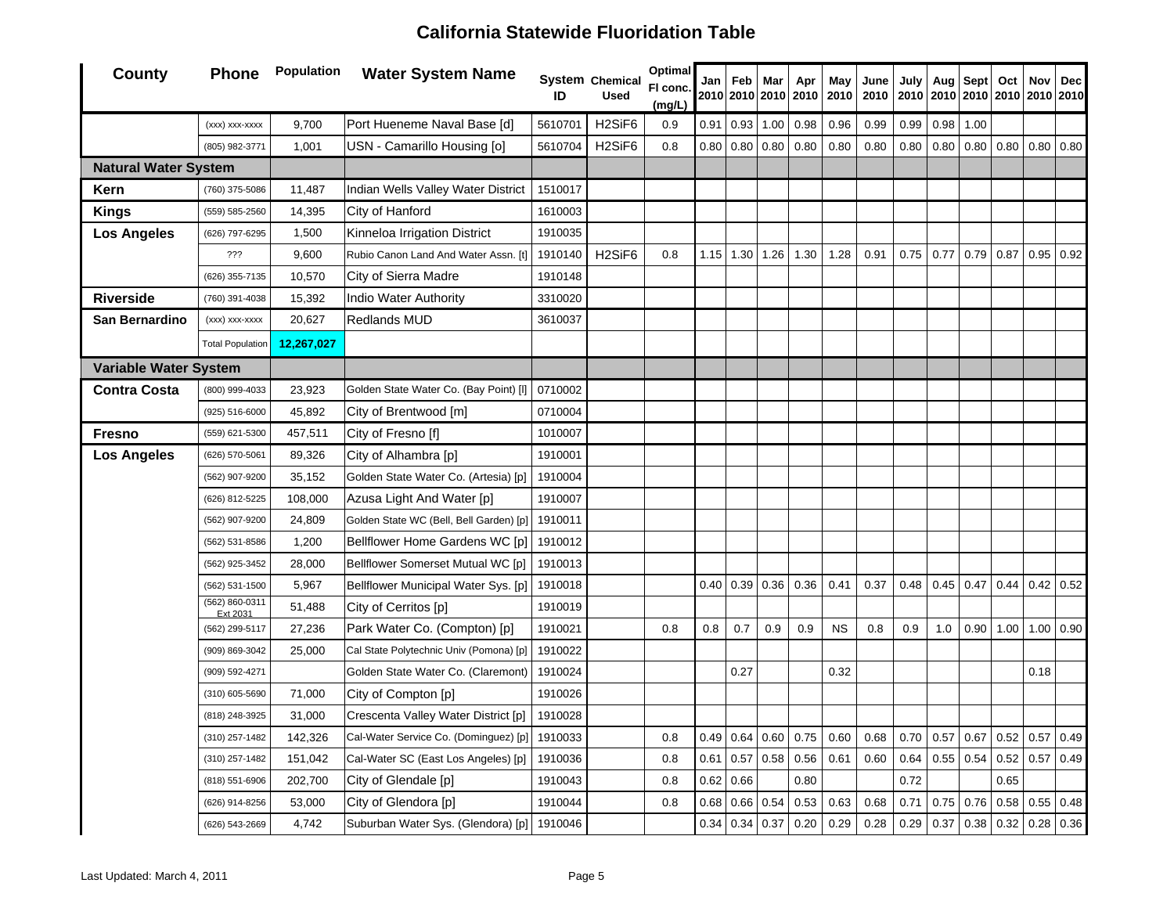| County                       | <b>Phone</b>               | Population | <b>Water System Name</b>                | ID      | <b>System Chemical</b><br><b>Used</b> | <b>Optimal</b><br>FI conc.<br>(mg/L) | Jan  | Feb  | Mar  | Apr<br>2010 2010 2010 2010 | May<br>2010 | June<br>2010 | July | Aug<br>2010   2010   2010   2010   2010   2010 | <b>Sept</b> | Oct       | Nov              | Dec         |
|------------------------------|----------------------------|------------|-----------------------------------------|---------|---------------------------------------|--------------------------------------|------|------|------|----------------------------|-------------|--------------|------|------------------------------------------------|-------------|-----------|------------------|-------------|
|                              | (xxx) xxx-xxxx             | 9,700      | Port Hueneme Naval Base [d]             | 5610701 | H <sub>2</sub> SiF <sub>6</sub>       | 0.9                                  | 0.91 | 0.93 | 1.00 | $0.98\,$                   | 0.96        | 0.99         | 0.99 | 0.98                                           | 1.00        |           |                  |             |
|                              | (805) 982-3771             | 1,001      | USN - Camarillo Housing [o]             | 5610704 | H <sub>2</sub> SiF <sub>6</sub>       | 0.8                                  | 0.80 | 0.80 | 0.80 | 0.80                       | 0.80        | 0.80         | 0.80 | 0.80                                           | 0.80        | 0.80      | 0.80             | 0.80        |
| <b>Natural Water System</b>  |                            |            |                                         |         |                                       |                                      |      |      |      |                            |             |              |      |                                                |             |           |                  |             |
| Kern                         | (760) 375-5086             | 11,487     | Indian Wells Valley Water District      | 1510017 |                                       |                                      |      |      |      |                            |             |              |      |                                                |             |           |                  |             |
| <b>Kings</b>                 | (559) 585-2560             | 14,395     | City of Hanford                         | 1610003 |                                       |                                      |      |      |      |                            |             |              |      |                                                |             |           |                  |             |
| <b>Los Angeles</b>           | (626) 797-6295             | 1,500      | Kinneloa Irrigation District            | 1910035 |                                       |                                      |      |      |      |                            |             |              |      |                                                |             |           |                  |             |
|                              | ???                        | 9,600      | Rubio Canon Land And Water Assn. [t]    | 1910140 | H <sub>2</sub> SiF <sub>6</sub>       | 0.8                                  | 1.15 | 1.30 | 1.26 | 1.30                       | 1.28        | 0.91         | 0.75 | 0.77                                           | 0.79        | 0.87      |                  | $0.95$ 0.92 |
|                              | (626) 355-7135             | 10,570     | City of Sierra Madre                    | 1910148 |                                       |                                      |      |      |      |                            |             |              |      |                                                |             |           |                  |             |
| <b>Riverside</b>             | (760) 391-4038             | 15,392     | <b>Indio Water Authority</b>            | 3310020 |                                       |                                      |      |      |      |                            |             |              |      |                                                |             |           |                  |             |
| San Bernardino               | (xxx) xxx-xxxx             | 20,627     | <b>Redlands MUD</b>                     | 3610037 |                                       |                                      |      |      |      |                            |             |              |      |                                                |             |           |                  |             |
|                              | <b>Total Population</b>    | 12,267,027 |                                         |         |                                       |                                      |      |      |      |                            |             |              |      |                                                |             |           |                  |             |
| <b>Variable Water System</b> |                            |            |                                         |         |                                       |                                      |      |      |      |                            |             |              |      |                                                |             |           |                  |             |
| <b>Contra Costa</b>          | (800) 999-4033             | 23,923     | Golden State Water Co. (Bay Point) [I]  | 0710002 |                                       |                                      |      |      |      |                            |             |              |      |                                                |             |           |                  |             |
|                              | (925) 516-6000             | 45,892     | City of Brentwood [m]                   | 0710004 |                                       |                                      |      |      |      |                            |             |              |      |                                                |             |           |                  |             |
| <b>Fresno</b>                | (559) 621-5300             | 457,511    | City of Fresno [f]                      | 1010007 |                                       |                                      |      |      |      |                            |             |              |      |                                                |             |           |                  |             |
| <b>Los Angeles</b>           | (626) 570-5061             | 89,326     | City of Alhambra [p]                    | 1910001 |                                       |                                      |      |      |      |                            |             |              |      |                                                |             |           |                  |             |
|                              | (562) 907-9200             | 35,152     | Golden State Water Co. (Artesia) [p]    | 1910004 |                                       |                                      |      |      |      |                            |             |              |      |                                                |             |           |                  |             |
|                              | (626) 812-5225             | 108,000    | Azusa Light And Water [p]               | 1910007 |                                       |                                      |      |      |      |                            |             |              |      |                                                |             |           |                  |             |
|                              | (562) 907-9200             | 24,809     | Golden State WC (Bell, Bell Garden) [p] | 1910011 |                                       |                                      |      |      |      |                            |             |              |      |                                                |             |           |                  |             |
|                              | (562) 531-8586             | 1,200      | Bellflower Home Gardens WC [p]          | 1910012 |                                       |                                      |      |      |      |                            |             |              |      |                                                |             |           |                  |             |
|                              | (562) 925-3452             | 28,000     | Bellflower Somerset Mutual WC [p]       | 1910013 |                                       |                                      |      |      |      |                            |             |              |      |                                                |             |           |                  |             |
|                              | (562) 531-1500             | 5,967      | Bellflower Municipal Water Sys. [p]     | 1910018 |                                       |                                      | 0.40 | 0.39 | 0.36 | 0.36                       | 0.41        | 0.37         | 0.48 | 0.45                                           | 0.47        |           | $0.44$ 0.42 0.52 |             |
|                              | (562) 860-0311<br>Ext 2031 | 51,488     | City of Cerritos [p]                    | 1910019 |                                       |                                      |      |      |      |                            |             |              |      |                                                |             |           |                  |             |
|                              | (562) 299-5117             | 27,236     | Park Water Co. (Compton) [p]            | 1910021 |                                       | 0.8                                  | 0.8  | 0.7  | 0.9  | 0.9                        | <b>NS</b>   | 0.8          | 0.9  | 1.0                                            | 0.90        | 1.00 1.00 |                  | 0.90        |
|                              | (909) 869-3042             | 25,000     | Cal State Polytechnic Univ (Pomona) [p] | 1910022 |                                       |                                      |      |      |      |                            |             |              |      |                                                |             |           |                  |             |
|                              | (909) 592-4271             |            | Golden State Water Co. (Claremont)      | 1910024 |                                       |                                      |      | 0.27 |      |                            | 0.32        |              |      |                                                |             |           | 0.18             |             |
|                              | (310) 605-5690             | 71,000     | City of Compton [p]                     | 1910026 |                                       |                                      |      |      |      |                            |             |              |      |                                                |             |           |                  |             |
|                              | (818) 248-3925             | 31,000     | Crescenta Valley Water District [p]     | 1910028 |                                       |                                      |      |      |      |                            |             |              |      |                                                |             |           |                  |             |
|                              | (310) 257-1482             | 142,326    | Cal-Water Service Co. (Dominguez) [p]   | 1910033 |                                       | 0.8                                  | 0.49 | 0.64 | 0.60 | 0.75                       | 0.60        | 0.68         | 0.70 | 0.57                                           | 0.67        | 0.52      | 0.57             | 0.49        |
|                              | (310) 257-1482             | 151,042    | Cal-Water SC (East Los Angeles) [p]     | 1910036 |                                       | 0.8                                  | 0.61 | 0.57 | 0.58 | 0.56                       | 0.61        | 0.60         | 0.64 | 0.55                                           | 0.54        | 0.52      | 0.57             | 0.49        |
|                              | (818) 551-6906             | 202,700    | City of Glendale [p]                    | 1910043 |                                       | 0.8                                  | 0.62 | 0.66 |      | 0.80                       |             |              | 0.72 |                                                |             | 0.65      |                  |             |
|                              | (626) 914-8256             | 53,000     | City of Glendora [p]                    | 1910044 |                                       | 0.8                                  | 0.68 | 0.66 | 0.54 | 0.53                       | 0.63        | 0.68         | 0.71 | 0.75                                           | 0.76        | 0.58      | 0.55             | 0.48        |
|                              | (626) 543-2669             | 4,742      | Suburban Water Sys. (Glendora) [p]      | 1910046 |                                       |                                      | 0.34 | 0.34 | 0.37 | 0.20                       | 0.29        | 0.28         | 0.29 | 0.37                                           | 0.38        | 0.32      | 0.28             | 0.36        |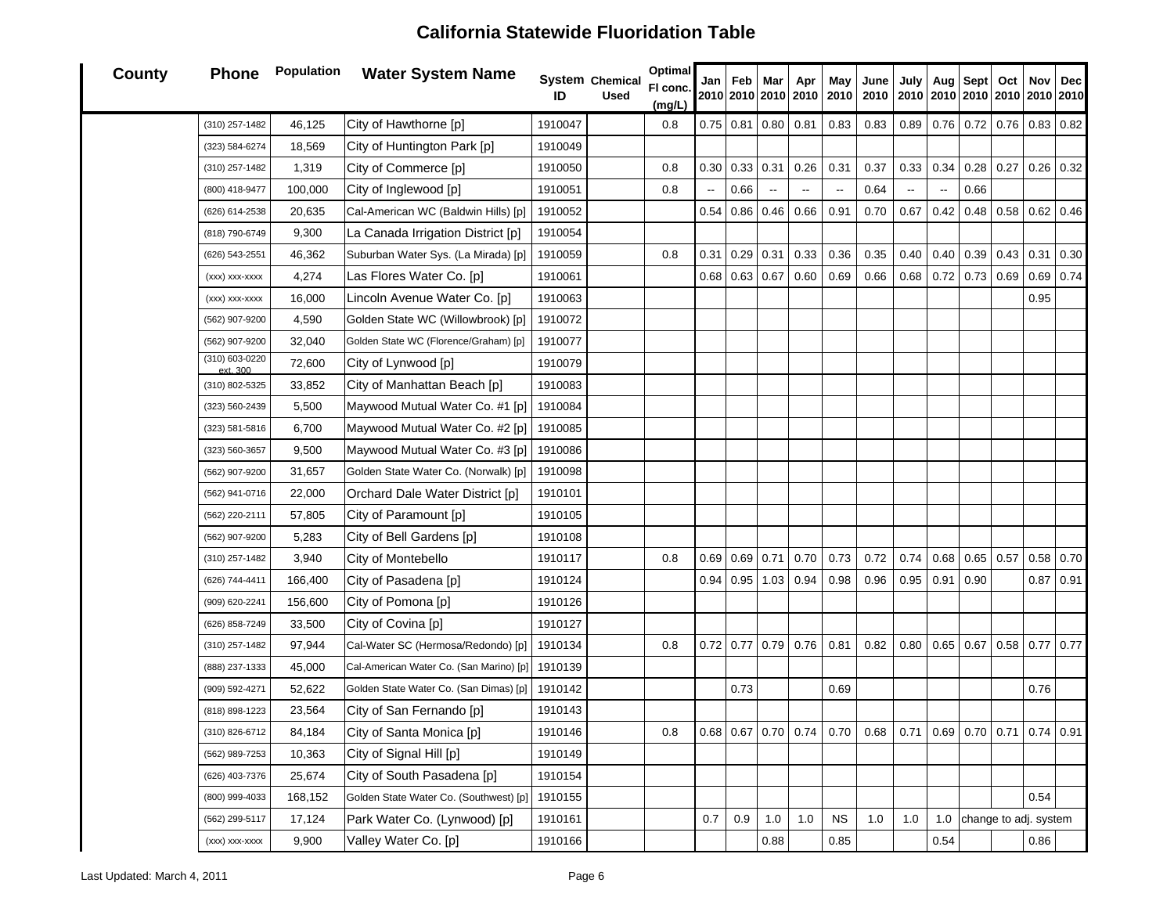| <b>County</b> | <b>Phone</b>               | Population | <b>Water System Name</b>                | ID      | System Chemical<br><b>Used</b> | <b>Optimal</b><br>FI conc.<br>(mg/L) |                          | Jan   Feb        | Mar                      | Apr<br>2010 2010 2010 2010 2010 | May                      | June<br>2010                                                                      | July  <br>2010 2010 2010 2010 2010 2010 | Aug Sept |      | Oct Nov               | Dec         |
|---------------|----------------------------|------------|-----------------------------------------|---------|--------------------------------|--------------------------------------|--------------------------|------------------|--------------------------|---------------------------------|--------------------------|-----------------------------------------------------------------------------------|-----------------------------------------|----------|------|-----------------------|-------------|
|               | (310) 257-1482             | 46,125     | City of Hawthorne [p]                   | 1910047 |                                | 0.8                                  |                          | $0.75$ 0.81      | 0.80                     | 0.81                            | 0.83                     | 0.83                                                                              | 0.89                                    | 0.76     | 0.72 | $0.76$ 0.83 0.82      |             |
|               | (323) 584-6274             | 18,569     | City of Huntington Park [p]             | 1910049 |                                |                                      |                          |                  |                          |                                 |                          |                                                                                   |                                         |          |      |                       |             |
|               | (310) 257-1482             | 1,319      | City of Commerce [p]                    | 1910050 |                                | 0.8                                  | 0.30                     | 0.33             | 0.31                     | 0.26                            | 0.31                     | 0.37                                                                              | 0.33                                    | 0.34     | 0.28 | $0.27$ 0.26 0.32      |             |
|               | (800) 418-9477             | 100,000    | City of Inglewood [p]                   | 1910051 |                                | 0.8                                  | $\overline{\phantom{a}}$ | 0.66             | $\overline{\phantom{a}}$ |                                 | $\overline{\phantom{a}}$ | 0.64                                                                              | $\overline{\phantom{a}}$                |          | 0.66 |                       |             |
|               | (626) 614-2538             | 20,635     | Cal-American WC (Baldwin Hills) [p]     | 1910052 |                                |                                      |                          | $0.54 \ 0.86$    | 0.46                     | 0.66                            | 0.91                     | 0.70                                                                              | 0.67                                    | 0.42     | 0.48 | $0.58 \, 0.62$        | 0.46        |
|               | (818) 790-6749             | 9,300      | La Canada Irrigation District [p]       | 1910054 |                                |                                      |                          |                  |                          |                                 |                          |                                                                                   |                                         |          |      |                       |             |
|               | (626) 543-2551             | 46,362     | Suburban Water Sys. (La Mirada) [p]     | 1910059 |                                | 0.8                                  | 0.31                     | $0.29$ 0.31      |                          | 0.33                            | 0.36                     | 0.35                                                                              | 0.40                                    | 0.40     | 0.39 | $0.43$ 0.31           | 0.30        |
|               | (xxx) xxx-xxxx             | 4,274      | Las Flores Water Co. [p]                | 1910061 |                                |                                      |                          | $0.68$ 0.63 0.67 |                          | 0.60                            | 0.69                     | 0.66                                                                              | 0.68                                    | 0.72     | 0.73 | $0.69$ 0.69           | 0.74        |
|               | (xxx) xxx-xxxx             | 16,000     | Lincoln Avenue Water Co. [p]            | 1910063 |                                |                                      |                          |                  |                          |                                 |                          |                                                                                   |                                         |          |      | 0.95                  |             |
|               | (562) 907-9200             | 4,590      | Golden State WC (Willowbrook) [p]       | 1910072 |                                |                                      |                          |                  |                          |                                 |                          |                                                                                   |                                         |          |      |                       |             |
|               | (562) 907-9200             | 32,040     | Golden State WC (Florence/Graham) [p]   | 1910077 |                                |                                      |                          |                  |                          |                                 |                          |                                                                                   |                                         |          |      |                       |             |
|               | (310) 603-0220<br>ext. 300 | 72,600     | City of Lynwood [p]                     | 1910079 |                                |                                      |                          |                  |                          |                                 |                          |                                                                                   |                                         |          |      |                       |             |
|               | (310) 802-5325             | 33,852     | City of Manhattan Beach [p]             | 1910083 |                                |                                      |                          |                  |                          |                                 |                          |                                                                                   |                                         |          |      |                       |             |
|               | (323) 560-2439             | 5,500      | Maywood Mutual Water Co. #1 [p]         | 1910084 |                                |                                      |                          |                  |                          |                                 |                          |                                                                                   |                                         |          |      |                       |             |
|               | (323) 581-5816             | 6,700      | Maywood Mutual Water Co. #2 [p]         | 1910085 |                                |                                      |                          |                  |                          |                                 |                          |                                                                                   |                                         |          |      |                       |             |
|               | (323) 560-3657             | 9,500      | Maywood Mutual Water Co. #3 [p]         | 1910086 |                                |                                      |                          |                  |                          |                                 |                          |                                                                                   |                                         |          |      |                       |             |
|               | (562) 907-9200             | 31,657     | Golden State Water Co. (Norwalk) [p]    | 1910098 |                                |                                      |                          |                  |                          |                                 |                          |                                                                                   |                                         |          |      |                       |             |
|               | (562) 941-0716             | 22,000     | Orchard Dale Water District [p]         | 1910101 |                                |                                      |                          |                  |                          |                                 |                          |                                                                                   |                                         |          |      |                       |             |
|               | (562) 220-2111             | 57,805     | City of Paramount [p]                   | 1910105 |                                |                                      |                          |                  |                          |                                 |                          |                                                                                   |                                         |          |      |                       |             |
|               | (562) 907-9200             | 5,283      | City of Bell Gardens [p]                | 1910108 |                                |                                      |                          |                  |                          |                                 |                          |                                                                                   |                                         |          |      |                       |             |
|               | (310) 257-1482             | 3,940      | City of Montebello                      | 1910117 |                                | 0.8                                  | 0.69                     | 0.69             | 0.71                     | 0.70                            | 0.73                     | 0.72                                                                              | 0.74                                    | 0.68     | 0.65 | $0.57$ 0.58           | 0.70        |
|               | (626) 744-4411             | 166,400    | City of Pasadena [p]                    | 1910124 |                                |                                      |                          | $0.94 \, 0.95$   | 1.03                     | 0.94                            | 0.98                     | 0.96                                                                              | 0.95                                    | 0.91     | 0.90 |                       | $0.87$ 0.91 |
|               | (909) 620-2241             | 156,600    | City of Pomona [p]                      | 1910126 |                                |                                      |                          |                  |                          |                                 |                          |                                                                                   |                                         |          |      |                       |             |
|               | (626) 858-7249             | 33,500     | City of Covina [p]                      | 1910127 |                                |                                      |                          |                  |                          |                                 |                          |                                                                                   |                                         |          |      |                       |             |
|               | (310) 257-1482             | 97,944     | Cal-Water SC (Hermosa/Redondo) [p]      | 1910134 |                                | 0.8                                  |                          | $0.72$ 0.77      | 0.79                     | 0.76                            | 0.81                     | 0.82                                                                              | 0.80                                    | 0.65     | 0.67 | $0.58$ 0.77 0.77      |             |
|               | (888) 237-1333             | 45,000     | Cal-American Water Co. (San Marino) [p] | 1910139 |                                |                                      |                          |                  |                          |                                 |                          |                                                                                   |                                         |          |      |                       |             |
|               | (909) 592-4271             | 52,622     | Golden State Water Co. (San Dimas) [p]  | 1910142 |                                |                                      |                          | 0.73             |                          |                                 | 0.69                     |                                                                                   |                                         |          |      | 0.76                  |             |
|               | (818) 898-1223             | 23,564     | City of San Fernando [p]                | 1910143 |                                |                                      |                          |                  |                          |                                 |                          |                                                                                   |                                         |          |      |                       |             |
|               | (310) 826-6712             | 84,184     | City of Santa Monica [p]                | 1910146 |                                | 0.8                                  |                          |                  |                          |                                 |                          | 0.68   0.67   0.70   0.74   0.70   0.68   0.71   0.69   0.70   0.71   0.74   0.91 |                                         |          |      |                       |             |
|               | (562) 989-7253             | 10,363     | City of Signal Hill [p]                 | 1910149 |                                |                                      |                          |                  |                          |                                 |                          |                                                                                   |                                         |          |      |                       |             |
|               | (626) 403-7376             | 25,674     | City of South Pasadena [p]              | 1910154 |                                |                                      |                          |                  |                          |                                 |                          |                                                                                   |                                         |          |      |                       |             |
|               | (800) 999-4033             | 168,152    | Golden State Water Co. (Southwest) [p]  | 1910155 |                                |                                      |                          |                  |                          |                                 |                          |                                                                                   |                                         |          |      | 0.54                  |             |
|               | (562) 299-5117             | 17,124     | Park Water Co. (Lynwood) [p]            | 1910161 |                                |                                      | 0.7                      | $0.9\,$          | 1.0                      | $1.0$                           | <b>NS</b>                | 1.0                                                                               | 1.0                                     | 1.0      |      | change to adj. system |             |
|               | (xxx) xxx-xxxx             | 9,900      | Valley Water Co. [p]                    | 1910166 |                                |                                      |                          |                  | 0.88                     |                                 | 0.85                     |                                                                                   |                                         | 0.54     |      | 0.86                  |             |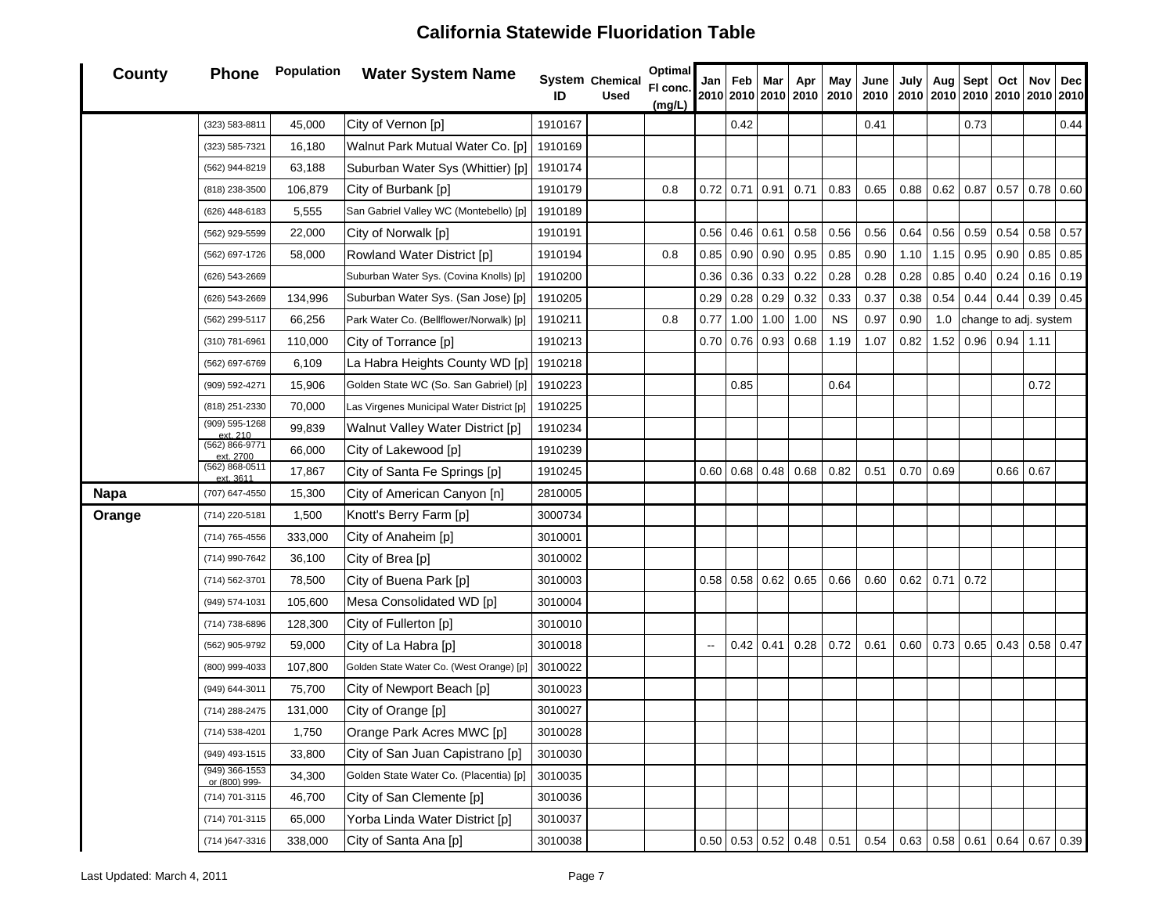| County      | <b>Phone</b>                      | Population | <b>Water System Name</b>                  | ID      | System Chemical<br><b>Used</b> | <b>Optimal</b><br>FI conc.<br>(mg/L) |      | Jan   Feb   Mar       | 2010 2010 2010   | Apr<br>2010 | May<br>2010 | June<br>2010 | July |                  | Aug Sept | Oct<br>2010 2010 2010 2010 2010 2010 2010 |             | Nov   Dec        |
|-------------|-----------------------------------|------------|-------------------------------------------|---------|--------------------------------|--------------------------------------|------|-----------------------|------------------|-------------|-------------|--------------|------|------------------|----------|-------------------------------------------|-------------|------------------|
|             | (323) 583-8811                    | 45,000     | City of Vernon [p]                        | 1910167 |                                |                                      |      | 0.42                  |                  |             |             | 0.41         |      |                  | 0.73     |                                           |             | 0.44             |
|             | (323) 585-7321                    | 16,180     | Walnut Park Mutual Water Co. [p]          | 1910169 |                                |                                      |      |                       |                  |             |             |              |      |                  |          |                                           |             |                  |
|             | (562) 944-8219                    | 63,188     | Suburban Water Sys (Whittier) [p]         | 1910174 |                                |                                      |      |                       |                  |             |             |              |      |                  |          |                                           |             |                  |
|             | (818) 238-3500                    | 106,879    | City of Burbank [p]                       | 1910179 |                                | 0.8                                  |      | $0.72 \mid 0.71 \mid$ | 0.91             | 0.71        | 0.83        | 0.65         | 0.88 | 0.62             | 0.87     | 0.57                                      |             | $0.78 \ 0.60$    |
|             | (626) 448-6183                    | 5,555      | San Gabriel Valley WC (Montebello) [p]    | 1910189 |                                |                                      |      |                       |                  |             |             |              |      |                  |          |                                           |             |                  |
|             | (562) 929-5599                    | 22,000     | City of Norwalk [p]                       | 1910191 |                                |                                      |      | $0.56$ 0.46           | 0.61             | 0.58        | 0.56        | 0.56         | 0.64 | 0.56             | 0.59     | 0.54                                      |             | 0.58 0.57        |
|             | (562) 697-1726                    | 58,000     | Rowland Water District [p]                | 1910194 |                                | 0.8                                  | 0.85 | 0.90                  | 0.90             | 0.95        | 0.85        | 0.90         | 1.10 | 1.15             | 0.95     | 0.90                                      |             | $0.85$ 0.85      |
|             | (626) 543-2669                    |            | Suburban Water Sys. (Covina Knolls) [p]   | 1910200 |                                |                                      | 0.36 | 0.36                  | 0.33             | 0.22        | 0.28        | 0.28         | 0.28 | 0.85             | 0.40     | 0.24                                      |             | $0.16$ 0.19      |
|             | (626) 543-2669                    | 134,996    | Suburban Water Sys. (San Jose) [p]        | 1910205 |                                |                                      | 0.29 | 0.28                  | 0.29             | 0.32        | 0.33        | 0.37         | 0.38 | 0.54             | 0.44     | 0.44                                      |             | $0.39 \mid 0.45$ |
|             | (562) 299-5117                    | 66,256     | Park Water Co. (Bellflower/Norwalk) [p]   | 1910211 |                                | 0.8                                  | 0.77 | 1.00                  | 1.00             | 1.00        | <b>NS</b>   | 0.97         | 0.90 | 1.0              |          | change to adj. system                     |             |                  |
|             | (310) 781-6961                    | 110,000    | City of Torrance [p]                      | 1910213 |                                |                                      |      | $0.70$ 0.76           | 0.93             | 0.68        | 1.19        | 1.07         | 0.82 | 1.52             |          | 0.96 0.94                                 | 1.11        |                  |
|             | (562) 697-6769                    | 6,109      | La Habra Heights County WD [p]            | 1910218 |                                |                                      |      |                       |                  |             |             |              |      |                  |          |                                           |             |                  |
|             | (909) 592-4271                    | 15,906     | Golden State WC (So. San Gabriel) [p]     | 1910223 |                                |                                      |      | 0.85                  |                  |             | 0.64        |              |      |                  |          |                                           | 0.72        |                  |
|             | (818) 251-2330                    | 70,000     | Las Virgenes Municipal Water District [p] | 1910225 |                                |                                      |      |                       |                  |             |             |              |      |                  |          |                                           |             |                  |
|             | (909) 595-1268<br>ext. 210        | 99,839     | Walnut Valley Water District [p]          | 1910234 |                                |                                      |      |                       |                  |             |             |              |      |                  |          |                                           |             |                  |
|             | (562) 866-9771<br>ext. 2700       | 66,000     | City of Lakewood [p]                      | 1910239 |                                |                                      |      |                       |                  |             |             |              |      |                  |          |                                           |             |                  |
|             | (562) 868-0511<br>ext. 3611       | 17,867     | City of Santa Fe Springs [p]              | 1910245 |                                |                                      |      | $0.60 \,   \, 0.68$   | 0.48             | 0.68        | 0.82        | 0.51         | 0.70 | 0.69             |          |                                           | $0.66$ 0.67 |                  |
| <b>Napa</b> | (707) 647-4550                    | 15,300     | City of American Canyon [n]               | 2810005 |                                |                                      |      |                       |                  |             |             |              |      |                  |          |                                           |             |                  |
| Orange      | (714) 220-5181                    | 1,500      | Knott's Berry Farm [p]                    | 3000734 |                                |                                      |      |                       |                  |             |             |              |      |                  |          |                                           |             |                  |
|             | (714) 765-4556                    | 333,000    | City of Anaheim [p]                       | 3010001 |                                |                                      |      |                       |                  |             |             |              |      |                  |          |                                           |             |                  |
|             | (714) 990-7642                    | 36,100     | City of Brea [p]                          | 3010002 |                                |                                      |      |                       |                  |             |             |              |      |                  |          |                                           |             |                  |
|             | (714) 562-3701                    | 78,500     | City of Buena Park [p]                    | 3010003 |                                |                                      |      | $0.58 \, \, 0.58$     | 0.62             | 0.65        | 0.66        | 0.60         | 0.62 | 0.71             | 0.72     |                                           |             |                  |
|             | (949) 574-1031                    | 105,600    | Mesa Consolidated WD [p]                  | 3010004 |                                |                                      |      |                       |                  |             |             |              |      |                  |          |                                           |             |                  |
|             | (714) 738-6896                    | 128,300    | City of Fullerton [p]                     | 3010010 |                                |                                      |      |                       |                  |             |             |              |      |                  |          |                                           |             |                  |
|             | (562) 905-9792                    | 59,000     | City of La Habra [p]                      | 3010018 |                                |                                      | --   | 0.42                  | 0.41             | 0.28        | 0.72        | 0.61         | 0.60 | 0.73             | 0.65     | 0.43                                      |             | $0.58$ 0.47      |
|             | (800) 999-4033                    | 107,800    | Golden State Water Co. (West Orange) [p]  | 3010022 |                                |                                      |      |                       |                  |             |             |              |      |                  |          |                                           |             |                  |
|             | (949) 644-3011                    | 75,700     | City of Newport Beach [p]                 | 3010023 |                                |                                      |      |                       |                  |             |             |              |      |                  |          |                                           |             |                  |
|             | (714) 288-2475                    | 131,000    | City of Orange [p]                        | 3010027 |                                |                                      |      |                       |                  |             |             |              |      |                  |          |                                           |             |                  |
|             | (714) 538-4201                    | 1,750      | Orange Park Acres MWC [p]                 | 3010028 |                                |                                      |      |                       |                  |             |             |              |      |                  |          |                                           |             |                  |
|             | (949) 493-1515                    | 33,800     | City of San Juan Capistrano [p]           | 3010030 |                                |                                      |      |                       |                  |             |             |              |      |                  |          |                                           |             |                  |
|             | $(949)$ 366-1553<br>or (800) 999- | 34,300     | Golden State Water Co. (Placentia) [p]    | 3010035 |                                |                                      |      |                       |                  |             |             |              |      |                  |          |                                           |             |                  |
|             | (714) 701-3115                    | 46,700     | City of San Clemente [p]                  | 3010036 |                                |                                      |      |                       |                  |             |             |              |      |                  |          |                                           |             |                  |
|             | (714) 701-3115                    | 65,000     | Yorba Linda Water District [p]            | 3010037 |                                |                                      |      |                       |                  |             |             |              |      |                  |          |                                           |             |                  |
|             | (714) 647-3316                    | 338,000    | City of Santa Ana [p]                     | 3010038 |                                |                                      |      |                       | $0.50$ 0.53 0.52 | 0.48        | 0.51        | 0.54         |      | $0.63$ 0.58 0.61 |          | 0.64                                      |             | 0.67 0.39        |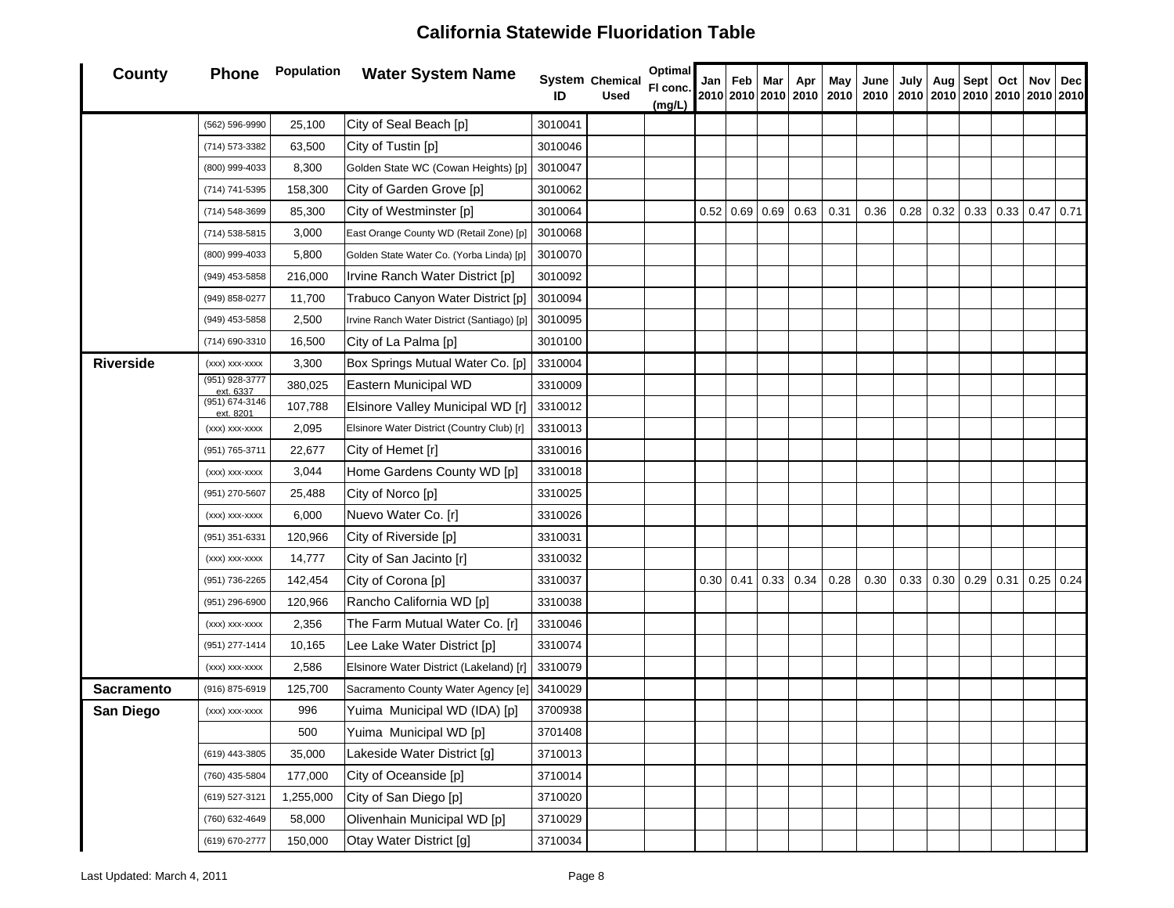#### **County Phone Population Water System Name System IDChemical UsedOptimal Fl conc. (mg/L) Jan 20102010201020102010Feb Mar Apr May June 2010201020102010201020102010July Aug Sept Oct Nov Dec** (562) 596-9990 25,100 City of Seal Beach [p] <sup>3010041</sup> (714) 573-3382 63,500 City of Tustin [p] <sup>3010046</sup> (800) 999-4033 8,300 Golden State WC (Cowan Heights) [p] 3010047 (714) 741-5395 158,300 City of Garden Grove [p] <sup>3010062</sup> (714) 548-3699 85,300 City of Westminster [p] <sup>3010064</sup> 0.52 0.69 0.69 0.63 0.31 0.36 0.28 0.32 0.33 0.33 0.47 0.71 (714) 538-5815 3,000 East Orange County WD (Retail Zone) [p] 3010068 (800) 999-4033 | 5,800 Golden State Water Co. (Yorba Linda) [p] 3010070 (949) 453-5858 216,000 Irvine Ranch Water District [p] 3010092 (949) 858-0277 11,700 Trabuco Canyon Water District [p] 3010094 (949) 453-5858 2,500 Irvine Ranch Water District (Santiago) [p] 3010095 (714) 690-3310 16,500 City of La Palma [p] <sup>3010100</sup> **Riverside** $(xxx)$  xxx-xxxx  $\begin{vmatrix} 3,300 \\ 8 \end{vmatrix}$  Box Springs Mutual Water Co. [p] 3310004 (951) 928-3777 ext. 6337 380,025 Eastern Municipal WD <sup>3310009</sup> (951) 674-3146 ext. 8201107,788 | Elsinore Valley Municipal WD [r] 3310012 (xxx) xxx-xxxx 2,095 Elsinore Water District (Country Club) [r] 3310013 (951) 765-3711 22,677 City of Hemet [r] <sup>3310016</sup>  $(xxx)$  xxx-xxxx  $\begin{array}{|c|c|c|c|c|} \hline 3,044 & \hline \end{array}$  Home Gardens County WD [p] 3310018 (951) 270-5607 25,488 City of Norco [p] <sup>3310025</sup> (xxx) xxx-xxxx 6,000 Nuevo Water Co. [r] <sup>3310026</sup> (951) 351-6331 120,966 City of Riverside [p] <sup>3310031</sup>  $(xxx)$  xxx-xxxx | 14,777 | City of San Jacinto [r]  $\vert$  3310032 (951) 736-2265 142,454 City of Corona [p] 3310037 3310037  $|$  0.30 0.41 0.33 0.34 0.34 0.28 0.30 0.33 0.30 0.29 0.31 0.25 0.24 (951) 296-6900 120,966 Rancho California WD [p] <sup>3310038</sup>  $(xxx)$  xxx-xxxx | 2,356 The Farm Mutual Water Co. [r] 3310046 (951) 277-1414 10,165 Lee Lake Water District [p] 3310074 (xxx) xxx-xxxx | 2,586 | Elsinore Water District (Lakeland) [r] 3310079 **Sacramento** (916) 875-6919 125,700 Sacramento County Water Agency [e] 3410029 **San Diego** (xxx) xxx-xxxx | 996 | Yuima Municipal WD (IDA) [p] | 3700938 500Yuima Municipal WD [p] | 3701408 (619) 443-3805 35,000 Lakeside Water District [g] <sup>3710013</sup> (760) 435-5804 177,000 City of Oceanside [p] <sup>3710014</sup> (619) 527-3121 1,255,000 City of San Diego [p] <sup>3710020</sup> (760) 632-4649 58,000 Olivenhain Municipal WD [p] <sup>3710029</sup> (619) 670-2777 150,000 Otay Water District [g] <sup>3710034</sup>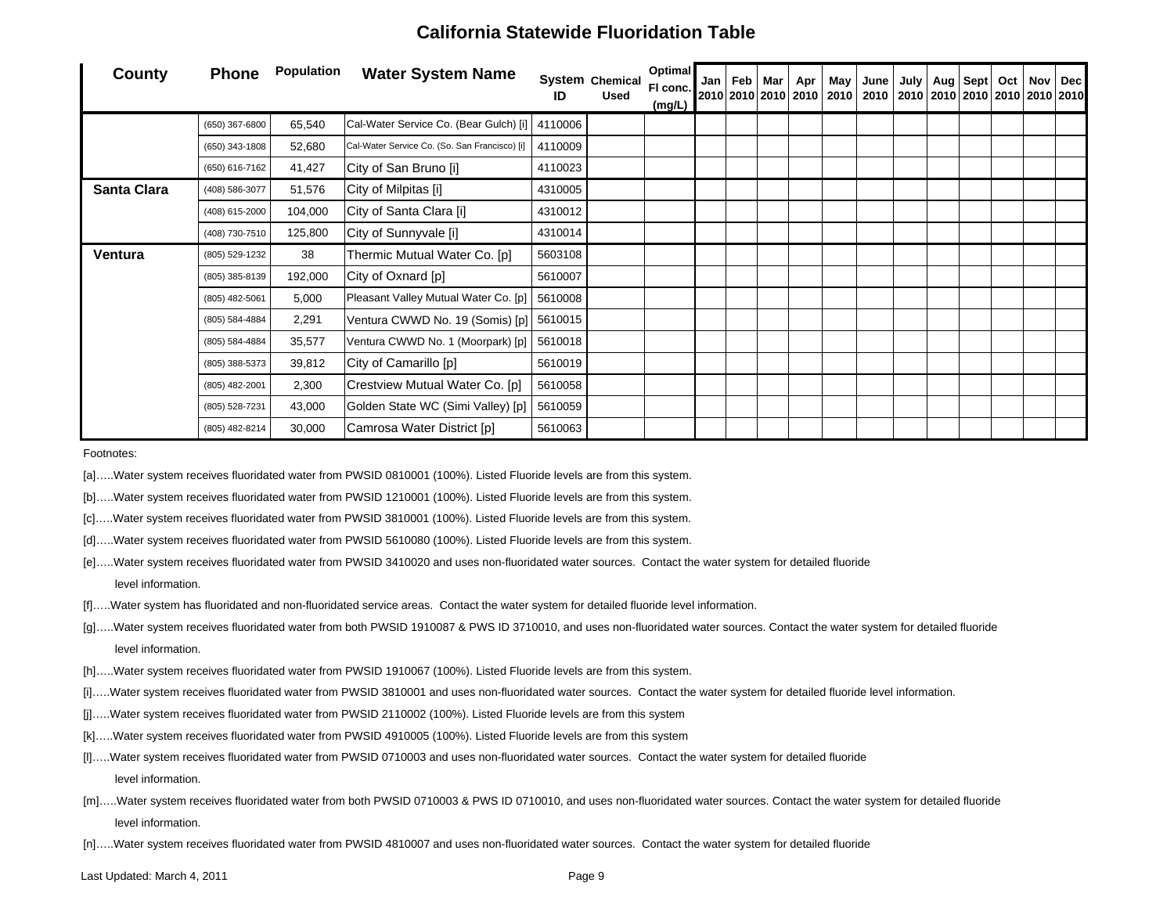| County             | <b>Phone</b>   | <b>Population</b> | <b>Water System Name</b>                      | ID      | <b>System Chemical</b><br><b>Used</b> | <b>Optimal</b><br>FI conc.<br>(mg/L) | Jan   Feb   Mar | Apr | May | June<br> 2010 2010 2010  2010   2010   2010   2010   2010   2010   2010   2010   2010 | July   Aug   Sept   Oct |  | Nov Dec |
|--------------------|----------------|-------------------|-----------------------------------------------|---------|---------------------------------------|--------------------------------------|-----------------|-----|-----|---------------------------------------------------------------------------------------|-------------------------|--|---------|
|                    | (650) 367-6800 | 65,540            | Cal-Water Service Co. (Bear Gulch) [i]        | 4110006 |                                       |                                      |                 |     |     |                                                                                       |                         |  |         |
|                    | (650) 343-1808 | 52,680            | Cal-Water Service Co. (So. San Francisco) [i] | 4110009 |                                       |                                      |                 |     |     |                                                                                       |                         |  |         |
|                    | (650) 616-7162 | 41,427            | City of San Bruno [i]                         | 4110023 |                                       |                                      |                 |     |     |                                                                                       |                         |  |         |
| <b>Santa Clara</b> | (408) 586-3077 | 51,576            | City of Milpitas [i]                          | 4310005 |                                       |                                      |                 |     |     |                                                                                       |                         |  |         |
|                    | (408) 615-2000 | 104,000           | City of Santa Clara [i]                       | 4310012 |                                       |                                      |                 |     |     |                                                                                       |                         |  |         |
|                    | (408) 730-7510 | 125,800           | City of Sunnyvale [i]                         | 4310014 |                                       |                                      |                 |     |     |                                                                                       |                         |  |         |
| Ventura            | (805) 529-1232 | 38                | Thermic Mutual Water Co. [p]                  | 5603108 |                                       |                                      |                 |     |     |                                                                                       |                         |  |         |
|                    | (805) 385-8139 | 192,000           | City of Oxnard [p]                            | 5610007 |                                       |                                      |                 |     |     |                                                                                       |                         |  |         |
|                    | (805) 482-5061 | 5,000             | Pleasant Valley Mutual Water Co. [p]          | 5610008 |                                       |                                      |                 |     |     |                                                                                       |                         |  |         |
|                    | (805) 584-4884 | 2,291             | Ventura CWWD No. 19 (Somis) [p]               | 5610015 |                                       |                                      |                 |     |     |                                                                                       |                         |  |         |
|                    | (805) 584-4884 | 35,577            | Ventura CWWD No. 1 (Moorpark) [p]             | 5610018 |                                       |                                      |                 |     |     |                                                                                       |                         |  |         |
|                    | (805) 388-5373 | 39,812            | City of Camarillo [p]                         | 5610019 |                                       |                                      |                 |     |     |                                                                                       |                         |  |         |
|                    | (805) 482-2001 | 2,300             | Crestview Mutual Water Co. [p]                | 5610058 |                                       |                                      |                 |     |     |                                                                                       |                         |  |         |
|                    | (805) 528-7231 | 43,000            | Golden State WC (Simi Valley) [p]             | 5610059 |                                       |                                      |                 |     |     |                                                                                       |                         |  |         |
|                    | (805) 482-8214 | 30,000            | Camrosa Water District [p]                    | 5610063 |                                       |                                      |                 |     |     |                                                                                       |                         |  |         |

Footnotes:

- [a]…..Water system receives fluoridated water from PWSID 0810001 (100%). Listed Fluoride levels are from this system.
- [b]…..Water system receives fluoridated water from PWSID 1210001 (100%). Listed Fluoride levels are from this system.
- [c]…..Water system receives fluoridated water from PWSID 3810001 (100%). Listed Fluoride levels are from this system.
- [d]…..Water system receives fluoridated water from PWSID 5610080 (100%). Listed Fluoride levels are from this system.
- [e]…..Water system receives fluoridated water from PWSID 3410020 and uses non-fluoridated water sources. Contact the water system for detailed fluoride level information.
- [f]…..Water system has fluoridated and non-fluoridated service areas. Contact the water system for detailed fluoride level information.
- [g].....Water system receives fluoridated water from both PWSID 1910087 & PWS ID 3710010, and uses non-fluoridated water sources. Contact the water system for detailed fluoride level information.
- [h]…..Water system receives fluoridated water from PWSID 1910067 (100%). Listed Fluoride levels are from this system.
- [i]…..Water system receives fluoridated water from PWSID 3810001 and uses non-fluoridated water sources. Contact the water system for detailed fluoride level information.
- [j]….Water system receives fluoridated water from PWSID 2110002 (100%). Listed Fluoride levels are from this system
- [k]…..Water system receives fluoridated water from PWSID 4910005 (100%). Listed Fluoride levels are from this system
- [l]…..Water system receives fluoridated water from PWSID 0710003 and uses non-fluoridated water sources. Contact the water system for detailed fluoride level information.
- [m]…..Water system receives fluoridated water from both PWSID 0710003 & PWS ID 0710010, and uses non-fluoridated water sources. Contact the water system for detailed fluoride level information.
- [n]…..Water system receives fluoridated water from PWSID 4810007 and uses non-fluoridated water sources. Contact the water system for detailed fluoride

Last Updated: March 4, 2011 **Page 9**